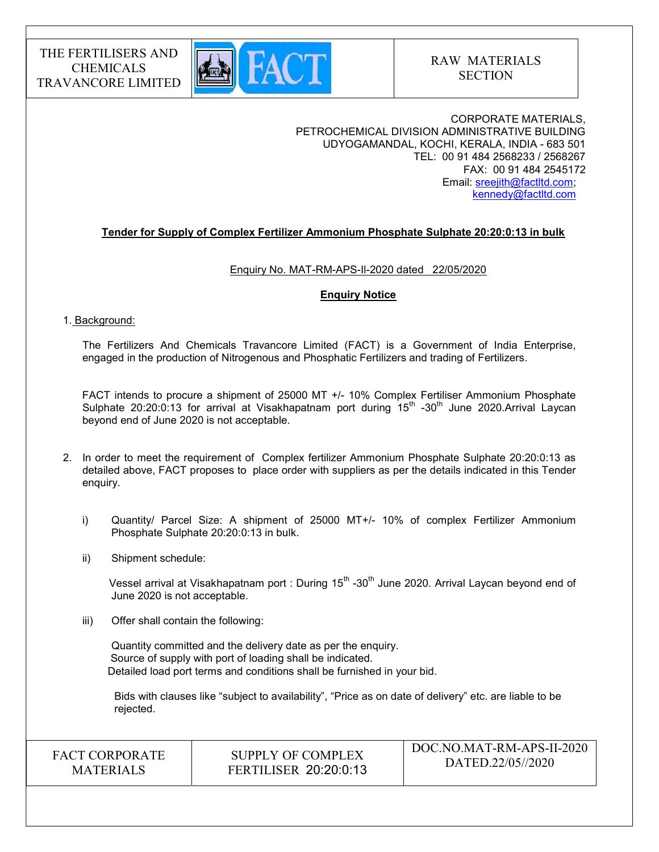

CORPORATE MATERIALS, PETROCHEMICAL DIVISION ADMINISTRATIVE BUILDING UDYOGAMANDAL, KOCHI, KERALA, INDIA - 683 501 TEL: 00 91 484 2568233 / 2568267 FAX: 00 91 484 2545172 Email: sreejith@factltd.com; kennedy@factltd.com

### Tender for Supply of Complex Fertilizer Ammonium Phosphate Sulphate 20:20:0:13 in bulk

#### Enquiry No. MAT-RM-APS-Il-2020 dated 22/05/2020

#### Enquiry Notice

#### 1. Background:

The Fertilizers And Chemicals Travancore Limited (FACT) is a Government of India Enterprise, engaged in the production of Nitrogenous and Phosphatic Fertilizers and trading of Fertilizers.

 FACT intends to procure a shipment of 25000 MT +/- 10% Complex Fertiliser Ammonium Phosphate Sulphate 20:20:0:13 for arrival at Visakhapatnam port during 15<sup>th</sup> -30<sup>th</sup> June 2020.Arrival Laycan beyond end of June 2020 is not acceptable.

- 2. In order to meet the requirement of Complex fertilizer Ammonium Phosphate Sulphate 20:20:0:13 as detailed above, FACT proposes to place order with suppliers as per the details indicated in this Tender enquiry.
	- i) Quantity/ Parcel Size: A shipment of 25000 MT+/- 10% of complex Fertilizer Ammonium Phosphate Sulphate 20:20:0:13 in bulk.
	- ii) Shipment schedule:

Vessel arrival at Visakhapatnam port : During 15<sup>th</sup> -30<sup>th</sup> June 2020. Arrival Laycan beyond end of June 2020 is not acceptable.

iii) Offer shall contain the following:

Quantity committed and the delivery date as per the enquiry. Source of supply with port of loading shall be indicated. Detailed load port terms and conditions shall be furnished in your bid.

 Bids with clauses like "subject to availability", "Price as on date of delivery" etc. are liable to be rejected.

FACT CORPORATE **MATERIALS** 

SUPPLY OF COMPLEX FERTILISER 20:20:0:13 DOC.NO.MAT-RM-APS-II-2020 DATED.22/05//2020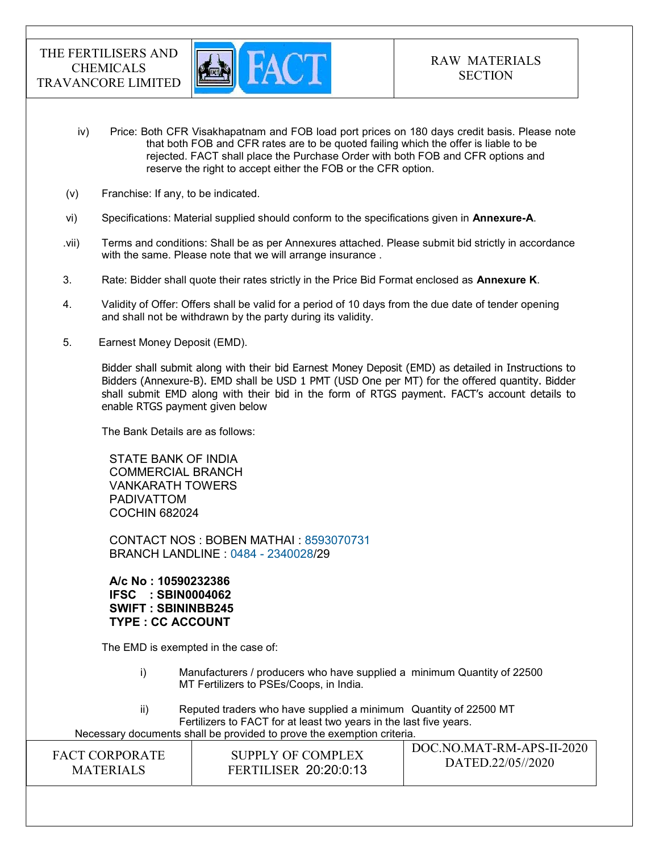

- iv) Price: Both CFR Visakhapatnam and FOB load port prices on 180 days credit basis. Please note that both FOB and CFR rates are to be quoted failing which the offer is liable to be rejected. FACT shall place the Purchase Order with both FOB and CFR options and reserve the right to accept either the FOB or the CFR option.
- (v) Franchise: If any, to be indicated.
- vi) Specifications: Material supplied should conform to the specifications given in Annexure-A.
- .vii) Terms and conditions: Shall be as per Annexures attached. Please submit bid strictly in accordance with the same. Please note that we will arrange insurance .
- 3. Rate: Bidder shall quote their rates strictly in the Price Bid Format enclosed as **Annexure K**.
- 4. Validity of Offer: Offers shall be valid for a period of 10 days from the due date of tender opening and shall not be withdrawn by the party during its validity.
- 5. Earnest Money Deposit (EMD).

Bidder shall submit along with their bid Earnest Money Deposit (EMD) as detailed in Instructions to Bidders (Annexure-B). EMD shall be USD 1 PMT (USD One per MT) for the offered quantity. Bidder shall submit EMD along with their bid in the form of RTGS payment. FACT's account details to enable RTGS payment given below

The Bank Details are as follows:

STATE BANK OF INDIA COMMERCIAL BRANCH VANKARATH TOWERS PADIVATTOM COCHIN 682024

CONTACT NOS : BOBEN MATHAI : 8593070731 BRANCH LANDLINE : 0484 - 2340028/29

A/c No : 10590232386 IFSC : SBIN0004062 SWIFT : SBININBB245 TYPE : CC ACCOUNT

The EMD is exempted in the case of:

- i) Manufacturers / producers who have supplied a minimum Quantity of 22500 MT Fertilizers to PSEs/Coops, in India.
- ii) Reputed traders who have supplied a minimum Quantity of 22500 MT Fertilizers to FACT for at least two years in the last five years. Necessary documents shall be provided to prove the exemption criteria.

| SUPPLY OF COMPLEX<br>FACT CORPORATE<br><b>FERTILISER 20:20:0:13</b><br><b>MATERIALS</b> | DOC.NO.MAT-RM-APS-II-2020<br>DATED.22/05//2020 |
|-----------------------------------------------------------------------------------------|------------------------------------------------|
|-----------------------------------------------------------------------------------------|------------------------------------------------|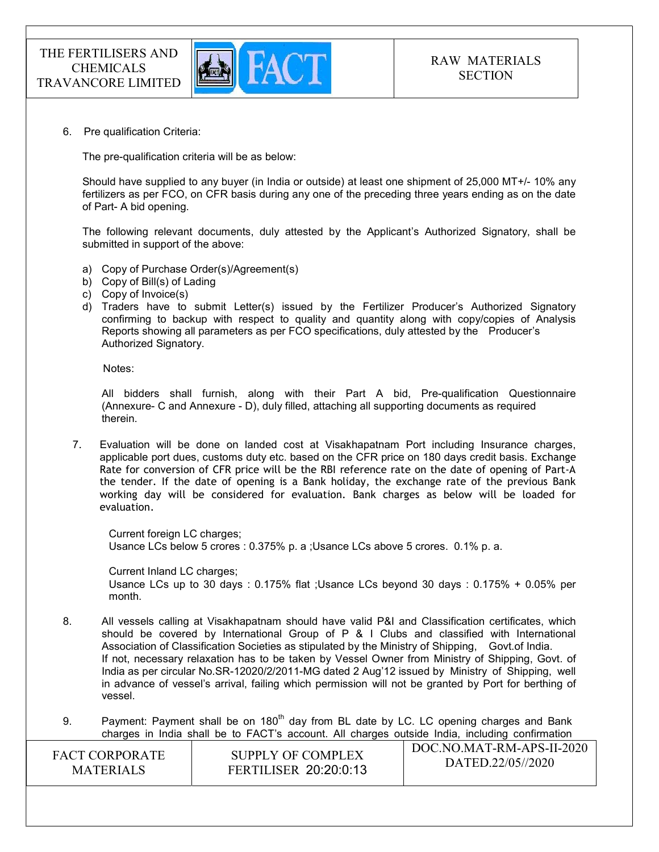

6. Pre qualification Criteria:

The pre-qualification criteria will be as below:

Should have supplied to any buyer (in India or outside) at least one shipment of 25,000 MT+/- 10% any fertilizers as per FCO, on CFR basis during any one of the preceding three years ending as on the date of Part- A bid opening.

The following relevant documents, duly attested by the Applicant's Authorized Signatory, shall be submitted in support of the above:

- a) Copy of Purchase Order(s)/Agreement(s)
- b) Copy of Bill(s) of Lading
- c) Copy of Invoice(s)
- d) Traders have to submit Letter(s) issued by the Fertilizer Producer's Authorized Signatory confirming to backup with respect to quality and quantity along with copy/copies of Analysis Reports showing all parameters as per FCO specifications, duly attested by the Producer's Authorized Signatory.

Notes:

 All bidders shall furnish, along with their Part A bid, Pre-qualification Questionnaire (Annexure- C and Annexure - D), duly filled, attaching all supporting documents as required therein.

7. Evaluation will be done on landed cost at Visakhapatnam Port including Insurance charges, applicable port dues, customs duty etc. based on the CFR price on 180 days credit basis. Exchange Rate for conversion of CFR price will be the RBI reference rate on the date of opening of Part-A the tender. If the date of opening is a Bank holiday, the exchange rate of the previous Bank working day will be considered for evaluation. Bank charges as below will be loaded for evaluation.

Current foreign LC charges; Usance LCs below 5 crores : 0.375% p. a ;Usance LCs above 5 crores. 0.1% p. a.

Current Inland LC charges; Usance LCs up to 30 days : 0.175% flat ;Usance LCs beyond 30 days : 0.175% + 0.05% per month.

- 8. All vessels calling at Visakhapatnam should have valid P&I and Classification certificates, which should be covered by International Group of P & I Clubs and classified with International Association of Classification Societies as stipulated by the Ministry of Shipping, Govt.of India. If not, necessary relaxation has to be taken by Vessel Owner from Ministry of Shipping, Govt. of India as per circular No.SR-12020/2/2011-MG dated 2 Aug'12 issued by Ministry of Shipping, well in advance of vessel's arrival, failing which permission will not be granted by Port for berthing of vessel.
- $\overline{D}$ 9. Payment: Payment shall be on  $180<sup>th</sup>$  day from BL date by LC. LC opening charges and Bank charges in India shall be to FACT's account. All charges outside India, including confirmation

| <b>FACT CORPORATE</b> | SUPPLY OF COMPLEX            | DOC.NO.MAT-RM-APS-II-2020 |
|-----------------------|------------------------------|---------------------------|
| <b>MATERIALS</b>      | <b>FERTILISER 20:20:0:13</b> | DATED.22/05//2020         |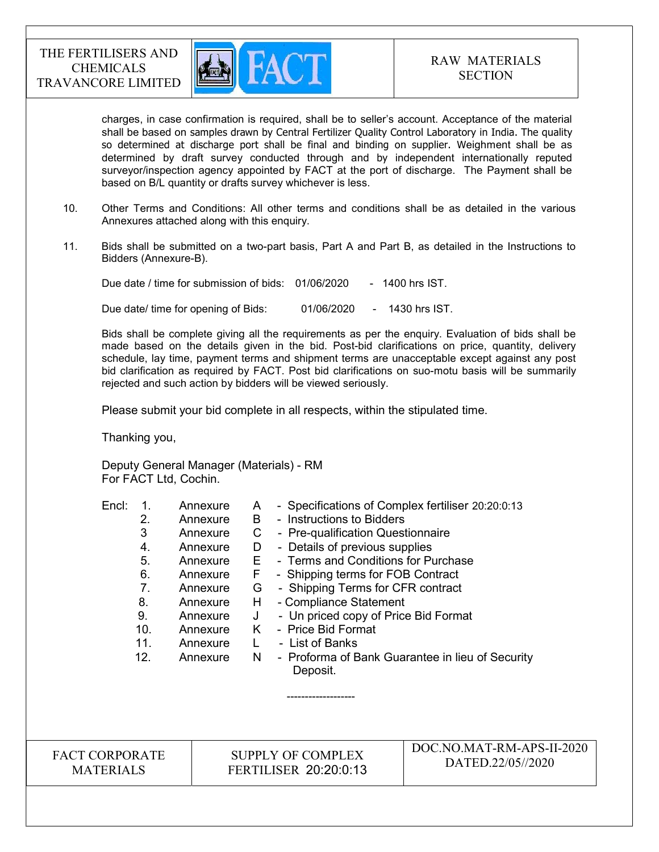

charges, in case confirmation is required, shall be to seller's account. Acceptance of the material shall be based on samples drawn by Central Fertilizer Quality Control Laboratory in India. The quality so determined at discharge port shall be final and binding on supplier. Weighment shall be as determined by draft survey conducted through and by independent internationally reputed surveyor/inspection agency appointed by FACT at the port of discharge. The Payment shall be based on B/L quantity or drafts survey whichever is less.

- 10. Other Terms and Conditions: All other terms and conditions shall be as detailed in the various Annexures attached along with this enquiry.
- 11. Bids shall be submitted on a two-part basis, Part A and Part B, as detailed in the Instructions to Bidders (Annexure-B).

Due date / time for submission of bids: 01/06/2020 - 1400 hrs IST. Due date/ time for opening of Bids: 01/06/2020 - 1430 hrs IST.

 Bids shall be complete giving all the requirements as per the enquiry. Evaluation of bids shall be made based on the details given in the bid. Post-bid clarifications on price, quantity, delivery schedule, lay time, payment terms and shipment terms are unacceptable except against any post bid clarification as required by FACT. Post bid clarifications on suo-motu basis will be summarily rejected and such action by bidders will be viewed seriously.

Please submit your bid complete in all respects, within the stipulated time.

Thanking you,

Deputy General Manager (Materials) - RM For FACT Ltd, Cochin.

-------------------

| Encl: | Annexure | A  | - Specifications of Complex fertiliser 20:20:0:13            |
|-------|----------|----|--------------------------------------------------------------|
| 2.    | Annexure | B  | - Instructions to Bidders                                    |
| 3     | Annexure | С  | - Pre-qualification Questionnaire                            |
| 4.    | Annexure | D  | - Details of previous supplies                               |
| 5.    | Annexure | E. | - Terms and Conditions for Purchase                          |
| 6.    | Annexure | F  | - Shipping terms for FOB Contract                            |
| 7.    | Annexure | G  | - Shipping Terms for CFR contract                            |
| 8.    | Annexure | H  | - Compliance Statement                                       |
| 9.    | Annexure | J  | - Un priced copy of Price Bid Format                         |
| 10.   | Annexure | K  | - Price Bid Format                                           |
| 11.   | Annexure |    | - List of Banks                                              |
| 12.   | Annexure | N  | - Proforma of Bank Guarantee in lieu of Security<br>Deposit. |
|       |          |    |                                                              |

FACT CORPORATE MATERIALS

SUPPLY OF COMPLEX FERTILISER 20:20:0:13 DOC.NO.MAT-RM-APS-II-2020 DATED.22/05//2020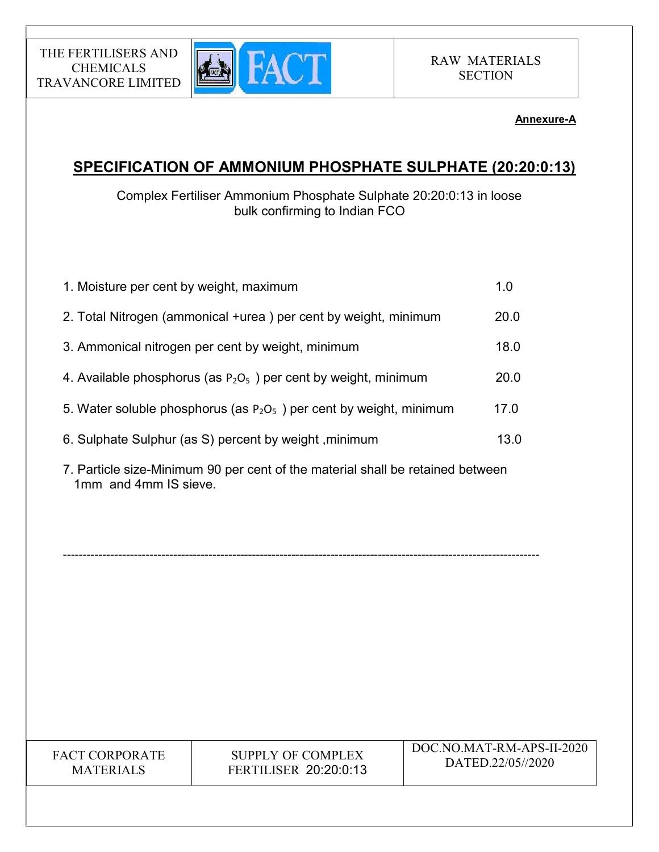

# Annexure-A

# SPECIFICATION OF AMMONIUM PHOSPHATE SULPHATE (20:20:0:13)

Complex Fertiliser Ammonium Phosphate Sulphate 20:20:0:13 in loose bulk confirming to Indian FCO

| 1. Moisture per cent by weight, maximum                                | 1.0  |
|------------------------------------------------------------------------|------|
| 2. Total Nitrogen (ammonical +urea) per cent by weight, minimum        | 20.0 |
| 3. Ammonical nitrogen per cent by weight, minimum                      | 18.0 |
| 4. Available phosphorus (as $P_2O_5$ ) per cent by weight, minimum     | 20.0 |
| 5. Water soluble phosphorus (as $P_2O_5$ ) per cent by weight, minimum | 17.0 |
| 6. Sulphate Sulphur (as S) percent by weight, minimum                  | 13.0 |
|                                                                        |      |

7. Particle size-Minimum 90 per cent of the material shall be retained between 1mm and 4mm IS sieve.

-------------------------------------------------------------------------------------------------------------------------

FACT CORPORATE MATERIALS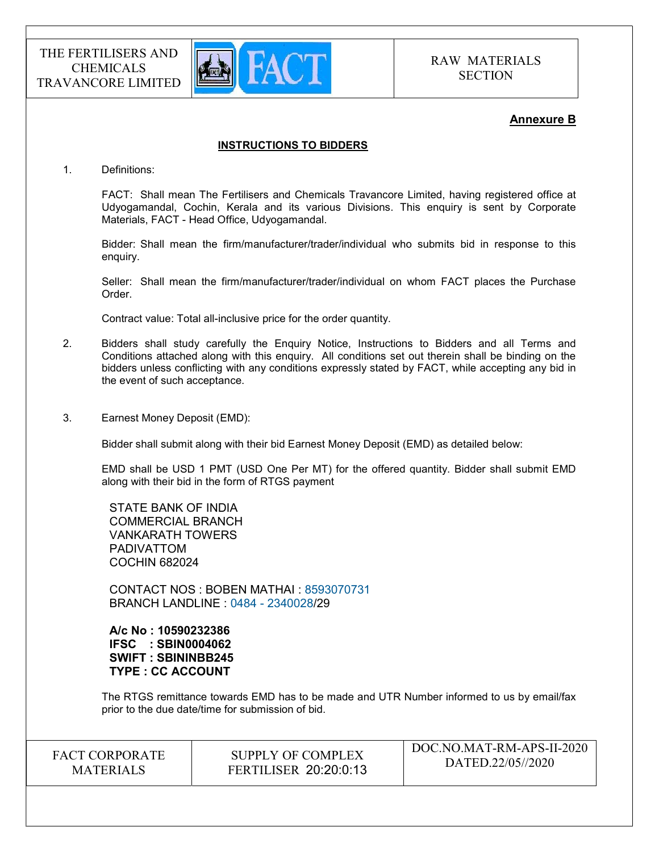

### Annexure B

### INSTRUCTIONS TO BIDDERS

1. Definitions:

FACT: Shall mean The Fertilisers and Chemicals Travancore Limited, having registered office at Udyogamandal, Cochin, Kerala and its various Divisions. This enquiry is sent by Corporate Materials, FACT - Head Office, Udyogamandal.

Bidder: Shall mean the firm/manufacturer/trader/individual who submits bid in response to this enquiry.

Seller: Shall mean the firm/manufacturer/trader/individual on whom FACT places the Purchase Order.

Contract value: Total all-inclusive price for the order quantity.

- 2. Bidders shall study carefully the Enquiry Notice, Instructions to Bidders and all Terms and Conditions attached along with this enquiry. All conditions set out therein shall be binding on the bidders unless conflicting with any conditions expressly stated by FACT, while accepting any bid in the event of such acceptance.
- 3. Earnest Money Deposit (EMD):

Bidder shall submit along with their bid Earnest Money Deposit (EMD) as detailed below:

EMD shall be USD 1 PMT (USD One Per MT) for the offered quantity. Bidder shall submit EMD along with their bid in the form of RTGS payment

STATE BANK OF INDIA COMMERCIAL BRANCH VANKARATH TOWERS PADIVATTOM COCHIN 682024

CONTACT NOS : BOBEN MATHAI : 8593070731 BRANCH LANDLINE : 0484 - 2340028/29

A/c No : 10590232386 IFSC : SBIN0004062 SWIFT : SBININBB245 TYPE : CC ACCOUNT

The RTGS remittance towards EMD has to be made and UTR Number informed to us by email/fax prior to the due date/time for submission of bid.

FACT CORPORATE **MATERIALS** 

SUPPLY OF COMPLEX FERTILISER 20:20:0:13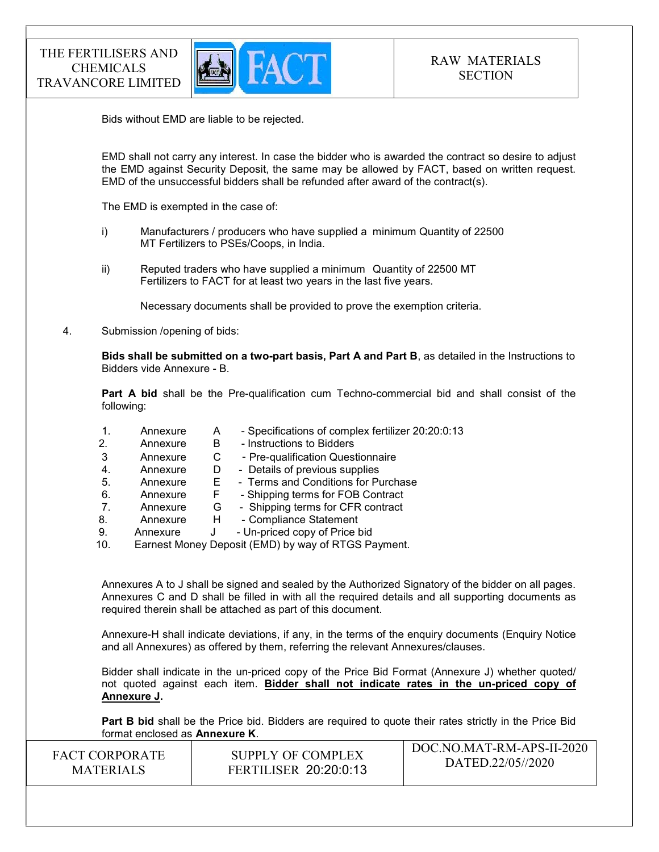

Bids without EMD are liable to be rejected.

EMD shall not carry any interest. In case the bidder who is awarded the contract so desire to adjust the EMD against Security Deposit, the same may be allowed by FACT, based on written request. EMD of the unsuccessful bidders shall be refunded after award of the contract(s).

The EMD is exempted in the case of:

- i) Manufacturers / producers who have supplied a minimum Quantity of 22500 MT Fertilizers to PSEs/Coops, in India.
- ii) Reputed traders who have supplied a minimum Quantity of 22500 MT Fertilizers to FACT for at least two years in the last five years.

Necessary documents shall be provided to prove the exemption criteria.

4. Submission /opening of bids:

Bids shall be submitted on a two-part basis, Part A and Part B, as detailed in the Instructions to Bidders vide Annexure - B.

Part A bid shall be the Pre-qualification cum Techno-commercial bid and shall consist of the following:

- 1. Annexure A Specifications of complex fertilizer 20:20:0:13
- 2. Annexure B Instructions to Bidders
- 3 Annexure C Pre-qualification Questionnaire
- 4. Annexure D Details of previous supplies
- 5. Annexure E Terms and Conditions for Purchase
- 6. Annexure F Shipping terms for FOB Contract
- 7. Annexure G Shipping terms for CFR contract
- 8. Annexure H Compliance Statement
- 9. Annexure J Un-priced copy of Price bid

10. Earnest Money Deposit (EMD) by way of RTGS Payment.

Annexures A to J shall be signed and sealed by the Authorized Signatory of the bidder on all pages. Annexures C and D shall be filled in with all the required details and all supporting documents as required therein shall be attached as part of this document.

Annexure-H shall indicate deviations, if any, in the terms of the enquiry documents (Enquiry Notice and all Annexures) as offered by them, referring the relevant Annexures/clauses.

Bidder shall indicate in the un-priced copy of the Price Bid Format (Annexure J) whether quoted/ not quoted against each item. Bidder shall not indicate rates in the un-priced copy of Annexure J.

Part B bid shall be the Price bid. Bidders are required to quote their rates strictly in the Price Bid format enclosed as Annexure K.

| <b>FACT CORPORATE</b> | SUPPLY OF COMPLEX            | DOC.NO.MAT-RM-APS-II-2020 |
|-----------------------|------------------------------|---------------------------|
| <b>MATERIALS</b>      | <b>FERTILISER 20:20:0:13</b> | DATED.22/05//2020         |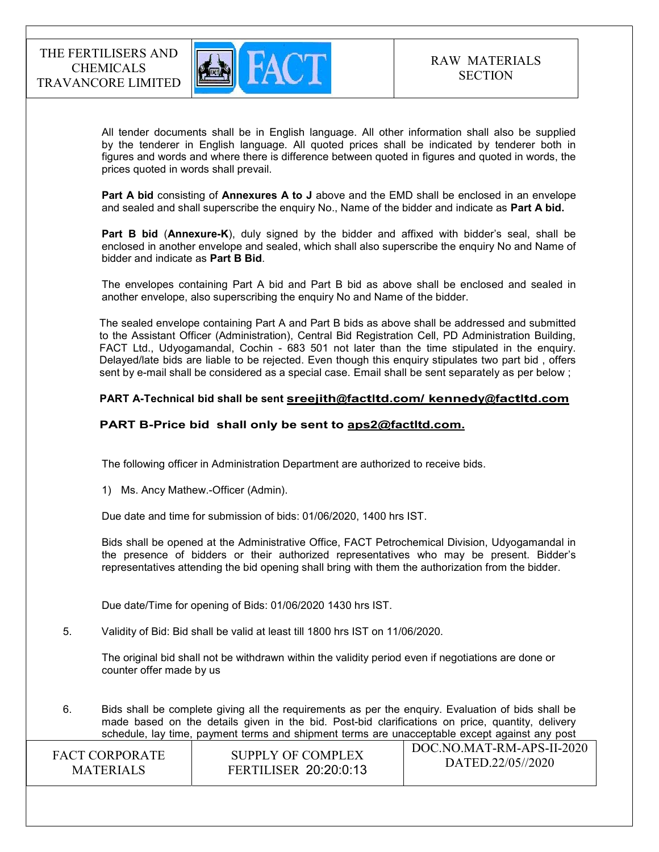

 All tender documents shall be in English language. All other information shall also be supplied by the tenderer in English language. All quoted prices shall be indicated by tenderer both in figures and words and where there is difference between quoted in figures and quoted in words, the prices quoted in words shall prevail.

Part A bid consisting of Annexures A to J above and the EMD shall be enclosed in an envelope and sealed and shall superscribe the enquiry No., Name of the bidder and indicate as Part A bid.

Part B bid (Annexure-K), duly signed by the bidder and affixed with bidder's seal, shall be enclosed in another envelope and sealed, which shall also superscribe the enquiry No and Name of bidder and indicate as Part B Bid.

The envelopes containing Part A bid and Part B bid as above shall be enclosed and sealed in another envelope, also superscribing the enquiry No and Name of the bidder.

The sealed envelope containing Part A and Part B bids as above shall be addressed and submitted to the Assistant Officer (Administration), Central Bid Registration Cell, PD Administration Building, FACT Ltd., Udyogamandal, Cochin - 683 501 not later than the time stipulated in the enquiry. Delayed/late bids are liable to be rejected. Even though this enquiry stipulates two part bid , offers sent by e-mail shall be considered as a special case. Email shall be sent separately as per below ;

#### PART A-Technical bid shall be sent sreejith@factltd.com/ kennedy@factltd.com

#### PART B-Price bid shall only be sent to aps2@factltd.com.

The following officer in Administration Department are authorized to receive bids.

1) Ms. Ancy Mathew.-Officer (Admin).

Due date and time for submission of bids: 01/06/2020, 1400 hrs IST.

Bids shall be opened at the Administrative Office, FACT Petrochemical Division, Udyogamandal in the presence of bidders or their authorized representatives who may be present. Bidder's representatives attending the bid opening shall bring with them the authorization from the bidder.

Due date/Time for opening of Bids: 01/06/2020 1430 hrs IST.

5. Validity of Bid: Bid shall be valid at least till 1800 hrs IST on 11/06/2020.

The original bid shall not be withdrawn within the validity period even if negotiations are done or counter offer made by us

 $\overline{1}$  DOC. NO.MAT. BM-A DS-II-2020 6. Bids shall be complete giving all the requirements as per the enquiry. Evaluation of bids shall be made based on the details given in the bid. Post-bid clarifications on price, quantity, delivery schedule, lay time, payment terms and shipment terms are unacceptable except against any post

| <b>FACT CORPORATE</b> | SUPPLY OF COMPLEX            | DOC.NO.MAT-RM-APS-II-2020 |
|-----------------------|------------------------------|---------------------------|
| <b>MATERIALS</b>      | <b>FERTILISER 20:20:0:13</b> | DATED.22/05//2020         |
|                       |                              |                           |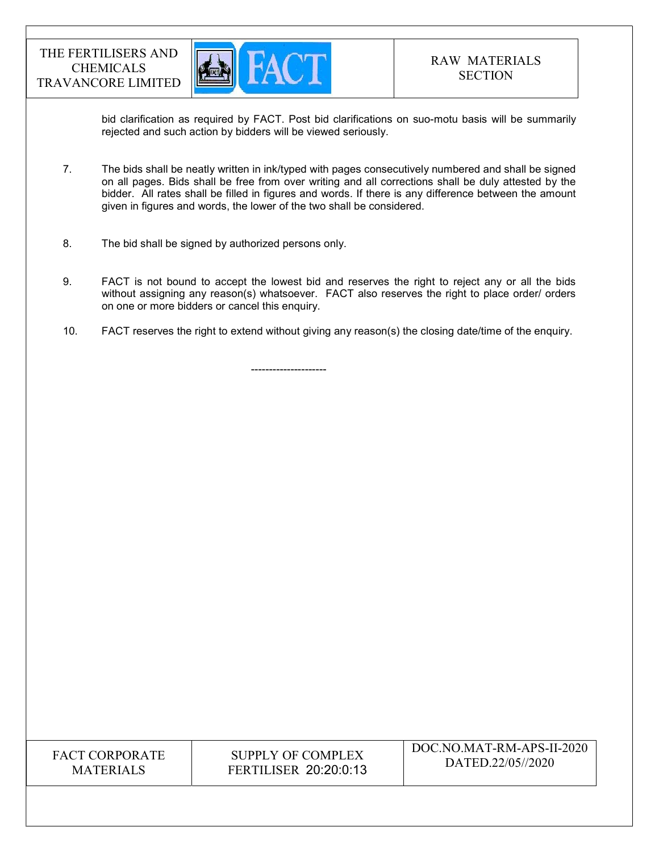

bid clarification as required by FACT. Post bid clarifications on suo-motu basis will be summarily rejected and such action by bidders will be viewed seriously.

- 7. The bids shall be neatly written in ink/typed with pages consecutively numbered and shall be signed on all pages. Bids shall be free from over writing and all corrections shall be duly attested by the bidder. All rates shall be filled in figures and words. If there is any difference between the amount given in figures and words, the lower of the two shall be considered.
- 8. The bid shall be signed by authorized persons only.

---------------------

- 9. FACT is not bound to accept the lowest bid and reserves the right to reject any or all the bids without assigning any reason(s) whatsoever. FACT also reserves the right to place order/ orders on one or more bidders or cancel this enquiry.
- 10. FACT reserves the right to extend without giving any reason(s) the closing date/time of the enquiry.

FACT CORPORATE MATERIALS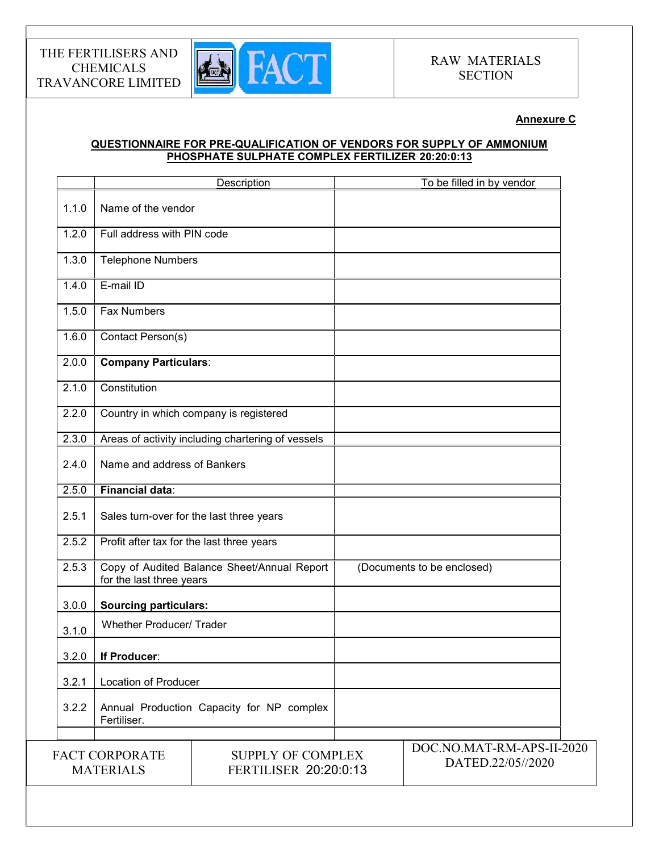

### Annexure C

### QUESTIONNAIRE FOR PRE-QUALIFICATION OF VENDORS FOR SUPPLY OF AMMONIUM PHOSPHATE SULPHATE COMPLEX FERTILIZER 20:20:0:13

|       |                                           | Description                                       | To be filled in by vendor                      |
|-------|-------------------------------------------|---------------------------------------------------|------------------------------------------------|
| 1.1.0 | Name of the vendor                        |                                                   |                                                |
| 1.2.0 | Full address with PIN code                |                                                   |                                                |
| 1.3.0 | <b>Telephone Numbers</b>                  |                                                   |                                                |
| 1.4.0 | E-mail ID                                 |                                                   |                                                |
| 1.5.0 | <b>Fax Numbers</b>                        |                                                   |                                                |
| 1.6.0 | Contact Person(s)                         |                                                   |                                                |
| 2.0.0 | <b>Company Particulars:</b>               |                                                   |                                                |
| 2.1.0 | Constitution                              |                                                   |                                                |
| 2.2.0 |                                           | Country in which company is registered            |                                                |
| 2.3.0 |                                           | Areas of activity including chartering of vessels |                                                |
| 2.4.0 | Name and address of Bankers               |                                                   |                                                |
| 2.5.0 | <b>Financial data:</b>                    |                                                   |                                                |
| 2.5.1 | Sales turn-over for the last three years  |                                                   |                                                |
| 2.5.2 | Profit after tax for the last three years |                                                   |                                                |
| 2.5.3 | for the last three years                  | Copy of Audited Balance Sheet/Annual Report       | (Documents to be enclosed)                     |
| 3.0.0 | <b>Sourcing particulars:</b>              |                                                   |                                                |
| 3.1.0 | <b>Whether Producer/ Trader</b>           |                                                   |                                                |
| 3.2.0 | If Producer:                              |                                                   |                                                |
| 3.2.1 | Location of Producer                      |                                                   |                                                |
| 3.2.2 | Fertiliser.                               | Annual Production Capacity for NP complex         |                                                |
|       |                                           |                                                   |                                                |
|       | <b>FACT CORPORATE</b><br><b>MATERIALS</b> | <b>SUPPLY OF COMPLEX</b><br>FERTILISER 20:20:0:13 | DOC.NO.MAT-RM-APS-II-2020<br>DATED.22/05//2020 |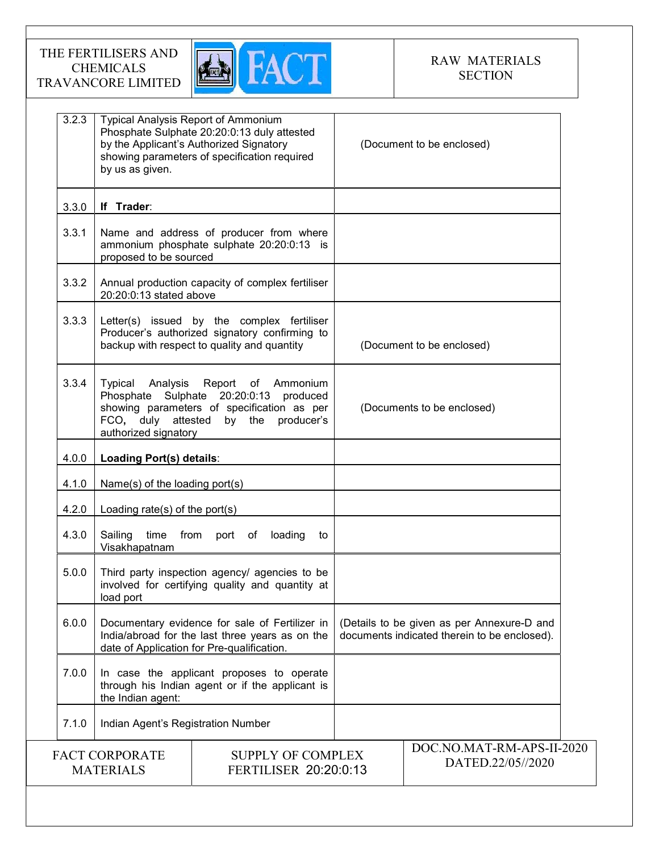

| 3.2.3 | <b>Typical Analysis Report of Ammonium</b><br>by us as given.            | Phosphate Sulphate 20:20:0:13 duly attested<br>by the Applicant's Authorized Signatory<br>showing parameters of specification required          | (Document to be enclosed)                                                                  |
|-------|--------------------------------------------------------------------------|-------------------------------------------------------------------------------------------------------------------------------------------------|--------------------------------------------------------------------------------------------|
| 3.3.0 | If Trader:                                                               |                                                                                                                                                 |                                                                                            |
| 3.3.1 | proposed to be sourced                                                   | Name and address of producer from where<br>ammonium phosphate sulphate 20:20:0:13 is                                                            |                                                                                            |
| 3.3.2 | 20:20:0:13 stated above                                                  | Annual production capacity of complex fertiliser                                                                                                |                                                                                            |
| 3.3.3 |                                                                          | Letter(s) issued by the complex fertiliser<br>Producer's authorized signatory confirming to<br>backup with respect to quality and quantity      | (Document to be enclosed)                                                                  |
| 3.3.4 | Typical<br>Analysis<br>FCO, duly attested by the<br>authorized signatory | Report of Ammonium<br>Phosphate Sulphate 20:20:0:13 produced<br>showing parameters of specification as per<br>producer's                        | (Documents to be enclosed)                                                                 |
| 4.0.0 | Loading Port(s) details:                                                 |                                                                                                                                                 |                                                                                            |
| 4.1.0 | Name(s) of the loading port(s)                                           |                                                                                                                                                 |                                                                                            |
| 4.2.0 | Loading rate(s) of the port(s)                                           |                                                                                                                                                 |                                                                                            |
| 4.3.0 | Sailing<br>time<br>Visakhapatnam                                         | from<br>loading<br>port of<br>to                                                                                                                |                                                                                            |
| 5.0.0 | load port                                                                | Third party inspection agency/ agencies to be<br>involved for certifying quality and quantity at                                                |                                                                                            |
| 6.0.0 |                                                                          | Documentary evidence for sale of Fertilizer in<br>India/abroad for the last three years as on the<br>date of Application for Pre-qualification. | (Details to be given as per Annexure-D and<br>documents indicated therein to be enclosed). |
| 7.0.0 | the Indian agent:                                                        | In case the applicant proposes to operate<br>through his Indian agent or if the applicant is                                                    |                                                                                            |
| 7.1.0 | Indian Agent's Registration Number                                       |                                                                                                                                                 |                                                                                            |
|       | <b>FACT CORPORATE</b><br><b>MATERIALS</b>                                | <b>SUPPLY OF COMPLEX</b><br><b>FERTILISER 20:20:0:13</b>                                                                                        | DOC.NO.MAT-RM-APS-II-2020<br>DATED.22/05//2020                                             |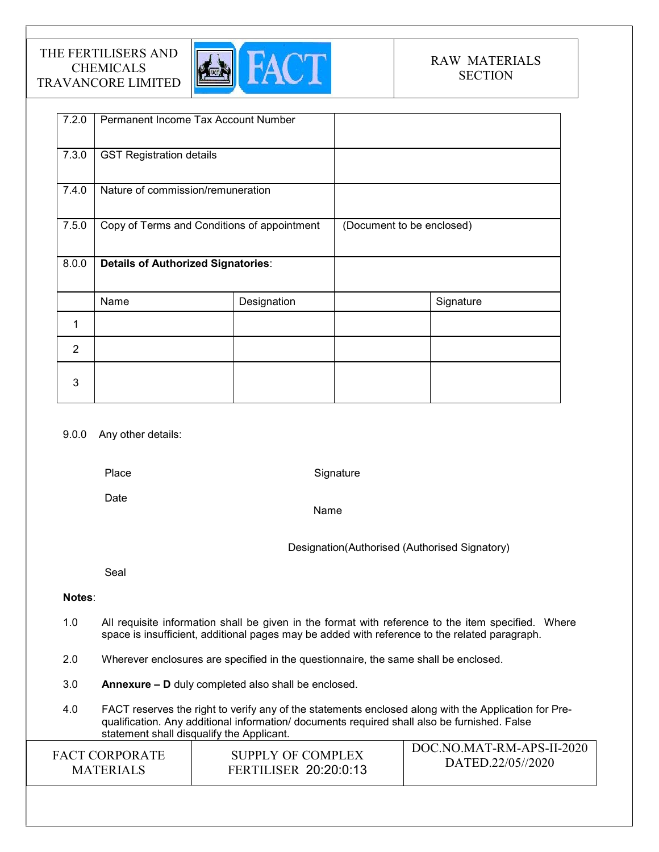

| 7.2.0          | Permanent Income Tax Account Number         |             |                           |           |
|----------------|---------------------------------------------|-------------|---------------------------|-----------|
| 7.3.0          | <b>GST Registration details</b>             |             |                           |           |
| 7.4.0          | Nature of commission/remuneration           |             |                           |           |
| 7.5.0          | Copy of Terms and Conditions of appointment |             | (Document to be enclosed) |           |
| 8.0.0          | <b>Details of Authorized Signatories:</b>   |             |                           |           |
|                | Name                                        | Designation |                           | Signature |
| 1              |                                             |             |                           |           |
| $\overline{2}$ |                                             |             |                           |           |
| 3              |                                             |             |                           |           |

### 9.0.0 Any other details:

Place

**Signature** 

Date

Name

Designation(Authorised (Authorised Signatory)

Seal

### Notes:

- 1.0 All requisite information shall be given in the format with reference to the item specified. Where space is insufficient, additional pages may be added with reference to the related paragraph.
- 2.0 Wherever enclosures are specified in the questionnaire, the same shall be enclosed.
- 3.0 Annexure D duly completed also shall be enclosed.
- 4.0 FACT reserves the right to verify any of the statements enclosed along with the Application for Prequalification. Any additional information/ documents required shall also be furnished. False statement shall disqualify the Applicant.

| SUPPLY OF COMPLEX<br><b>FACT CORPORATE</b><br>DATED.22/05//2020<br><b>FERTILISER 20:20:0:13</b><br><b>MATERIALS</b> |
|---------------------------------------------------------------------------------------------------------------------|
|---------------------------------------------------------------------------------------------------------------------|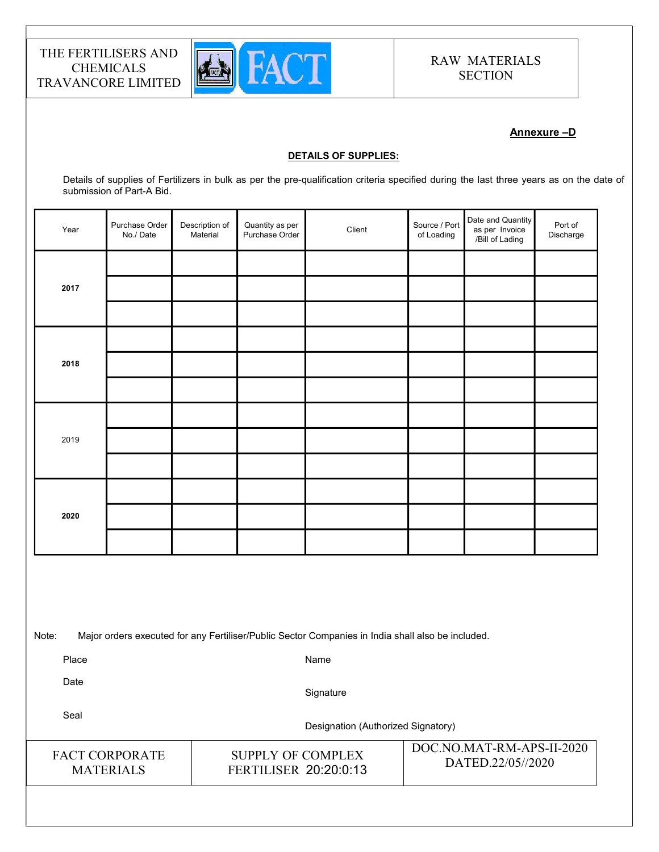

### Annexure –D

#### DETAILS OF SUPPLIES:

Details of supplies of Fertilizers in bulk as per the pre-qualification criteria specified during the last three years as on the date of submission of Part-A Bid.

| Year | Purchase Order<br>No./Date | Description of<br>Material | Quantity as per<br>Purchase Order | Client | Source / Port<br>of Loading | Date and Quantity<br>as per Invoice<br>/Bill of Lading | Port of<br>Discharge |
|------|----------------------------|----------------------------|-----------------------------------|--------|-----------------------------|--------------------------------------------------------|----------------------|
|      |                            |                            |                                   |        |                             |                                                        |                      |
| 2017 |                            |                            |                                   |        |                             |                                                        |                      |
|      |                            |                            |                                   |        |                             |                                                        |                      |
|      |                            |                            |                                   |        |                             |                                                        |                      |
| 2018 |                            |                            |                                   |        |                             |                                                        |                      |
|      |                            |                            |                                   |        |                             |                                                        |                      |
|      |                            |                            |                                   |        |                             |                                                        |                      |
| 2019 |                            |                            |                                   |        |                             |                                                        |                      |
|      |                            |                            |                                   |        |                             |                                                        |                      |
|      |                            |                            |                                   |        |                             |                                                        |                      |
| 2020 |                            |                            |                                   |        |                             |                                                        |                      |
|      |                            |                            |                                   |        |                             |                                                        |                      |

Note: Major orders executed for any Fertiliser/Public Sector Companies in India shall also be included.

Place

Name

Date

**Signature** 

SUPPLY OF COMPLEX FERTILISER 20:20:0:13

Seal

Designation (Authorized Signatory)

FACT CORPORATE MATERIALS

DOC.NO.MAT-RM-APS-II-2020 DATED.22/05//2020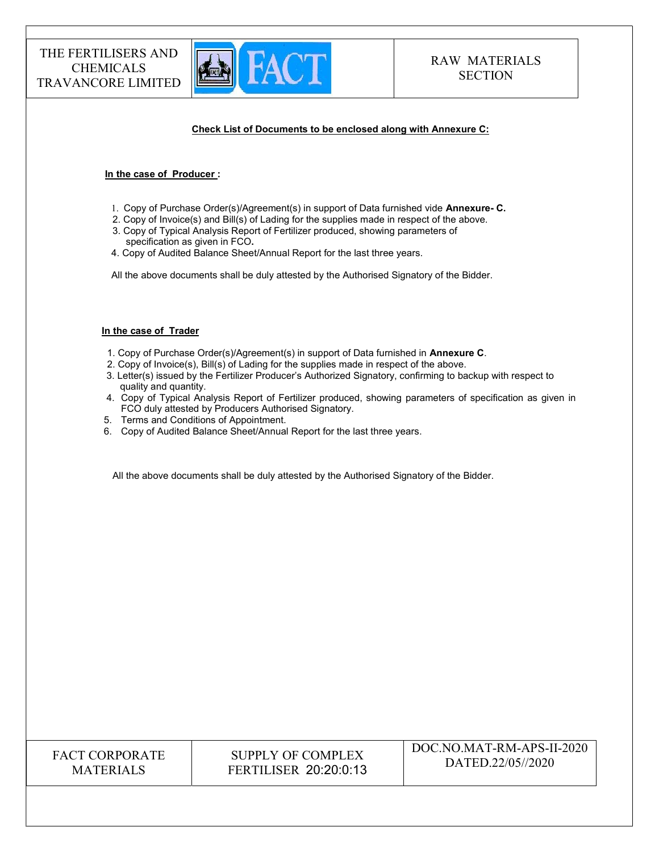

#### Check List of Documents to be enclosed along with Annexure C:

#### In the case of Producer :

- 1. Copy of Purchase Order(s)/Agreement(s) in support of Data furnished vide Annexure- C.
- 2. Copy of Invoice(s) and Bill(s) of Lading for the supplies made in respect of the above.
- 3. Copy of Typical Analysis Report of Fertilizer produced, showing parameters of specification as given in FCO.
- 4. Copy of Audited Balance Sheet/Annual Report for the last three years.

All the above documents shall be duly attested by the Authorised Signatory of the Bidder.

#### In the case of Trader

- 1. Copy of Purchase Order(s)/Agreement(s) in support of Data furnished in Annexure C.
- 2. Copy of Invoice(s), Bill(s) of Lading for the supplies made in respect of the above.
- 3. Letter(s) issued by the Fertilizer Producer's Authorized Signatory, confirming to backup with respect to quality and quantity.
- 4. Copy of Typical Analysis Report of Fertilizer produced, showing parameters of specification as given in FCO duly attested by Producers Authorised Signatory.
- 5. Terms and Conditions of Appointment.
- 6. Copy of Audited Balance Sheet/Annual Report for the last three years.

All the above documents shall be duly attested by the Authorised Signatory of the Bidder.

| <b>FACT CORPORATE</b> |
|-----------------------|
| <b>MATERIALS</b>      |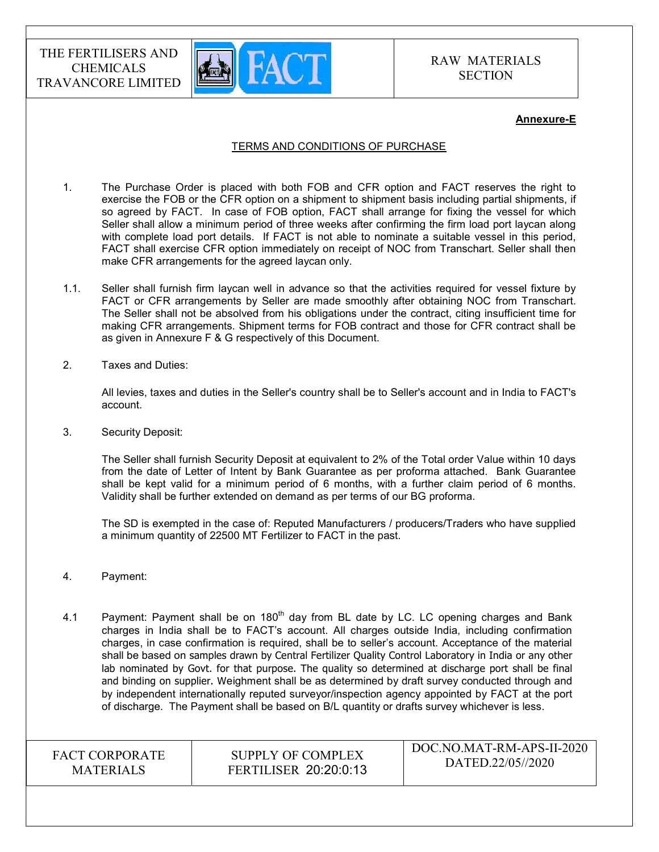

#### Annexure-E

#### TERMS AND CONDITIONS OF PURCHASE

- 1. The Purchase Order is placed with both FOB and CFR option and FACT reserves the right to exercise the FOB or the CFR option on a shipment to shipment basis including partial shipments, if so agreed by FACT. In case of FOB option, FACT shall arrange for fixing the vessel for which Seller shall allow a minimum period of three weeks after confirming the firm load port laycan along with complete load port details. If FACT is not able to nominate a suitable vessel in this period, FACT shall exercise CFR option immediately on receipt of NOC from Transchart. Seller shall then make CFR arrangements for the agreed laycan only.
- 1.1. Seller shall furnish firm laycan well in advance so that the activities required for vessel fixture by FACT or CFR arrangements by Seller are made smoothly after obtaining NOC from Transchart. The Seller shall not be absolved from his obligations under the contract, citing insufficient time for making CFR arrangements. Shipment terms for FOB contract and those for CFR contract shall be as given in Annexure F & G respectively of this Document.
- 2. Taxes and Duties:

All levies, taxes and duties in the Seller's country shall be to Seller's account and in India to FACT's account.

3. Security Deposit:

The Seller shall furnish Security Deposit at equivalent to 2% of the Total order Value within 10 days from the date of Letter of Intent by Bank Guarantee as per proforma attached. Bank Guarantee shall be kept valid for a minimum period of 6 months, with a further claim period of 6 months. Validity shall be further extended on demand as per terms of our BG proforma.

The SD is exempted in the case of: Reputed Manufacturers / producers/Traders who have supplied a minimum quantity of 22500 MT Fertilizer to FACT in the past.

- 4. Payment:
- 4.1 Payment: Payment shall be on  $180<sup>th</sup>$  day from BL date by LC. LC opening charges and Bank charges in India shall be to FACT's account. All charges outside India, including confirmation charges, in case confirmation is required, shall be to seller's account. Acceptance of the material shall be based on samples drawn by Central Fertilizer Quality Control Laboratory in India or any other lab nominated by Govt. for that purpose. The quality so determined at discharge port shall be final and binding on supplier. Weighment shall be as determined by draft survey conducted through and by independent internationally reputed surveyor/inspection agency appointed by FACT at the port of discharge. The Payment shall be based on B/L quantity or drafts survey whichever is less.

FACT CORPORATE MATERIALS

SUPPLY OF COMPLEX FERTILISER 20:20:0:13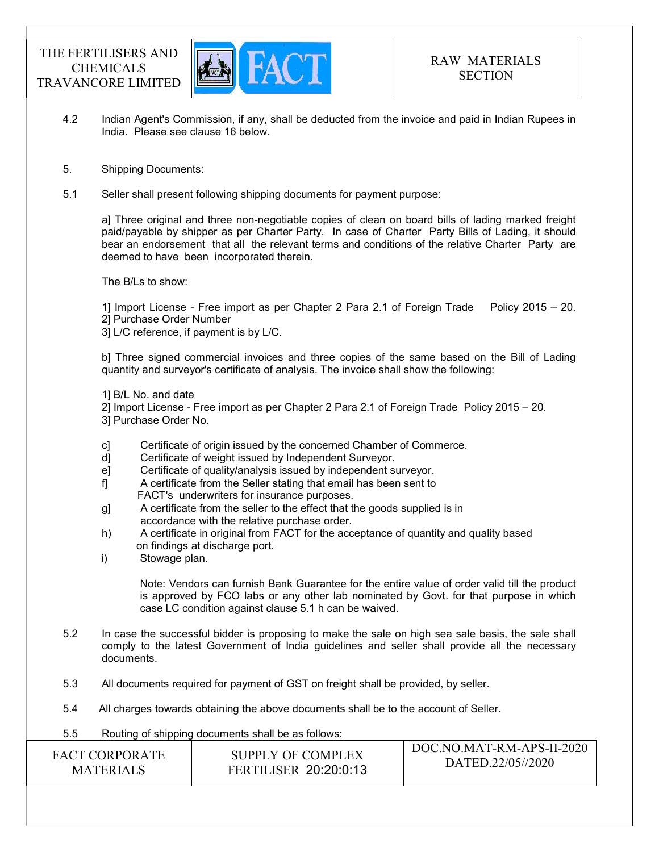

 $DQQ1IQ1I+HQ1I+DQ1I$ 

- 4.2 Indian Agent's Commission, if any, shall be deducted from the invoice and paid in Indian Rupees in India. Please see clause 16 below.
- 5. Shipping Documents:
- 5.1 Seller shall present following shipping documents for payment purpose:

a] Three original and three non-negotiable copies of clean on board bills of lading marked freight paid/payable by shipper as per Charter Party. In case of Charter Party Bills of Lading, it should bear an endorsement that all the relevant terms and conditions of the relative Charter Party are deemed to have been incorporated therein.

The B/Ls to show:

1] Import License - Free import as per Chapter 2 Para 2.1 of Foreign Trade Policy 2015 – 20. 2] Purchase Order Number

3] L/C reference, if payment is by L/C.

b] Three signed commercial invoices and three copies of the same based on the Bill of Lading quantity and surveyor's certificate of analysis. The invoice shall show the following:

1] B/L No. and date

- 2] Import License Free import as per Chapter 2 Para 2.1 of Foreign Trade Policy 2015 20.
- 3] Purchase Order No.
- c] Certificate of origin issued by the concerned Chamber of Commerce.
- d] Certificate of weight issued by Independent Surveyor.
- e] Certificate of quality/analysis issued by independent surveyor.
- f] A certificate from the Seller stating that email has been sent to FACT's underwriters for insurance purposes.
- g] A certificate from the seller to the effect that the goods supplied is in accordance with the relative purchase order.
- h) A certificate in original from FACT for the acceptance of quantity and quality based on findings at discharge port.
- i) Stowage plan.

Note: Vendors can furnish Bank Guarantee for the entire value of order valid till the product is approved by FCO labs or any other lab nominated by Govt. for that purpose in which case LC condition against clause 5.1 h can be waived.

- 5.2 In case the successful bidder is proposing to make the sale on high sea sale basis, the sale shall comply to the latest Government of India guidelines and seller shall provide all the necessary documents.
- 5.3 All documents required for payment of GST on freight shall be provided, by seller.
- 5.4 All charges towards obtaining the above documents shall be to the account of Seller.
- 5.5 Routing of shipping documents shall be as follows:

| <b>FACT CORPORATE</b> | SUPPLY OF COMPLEX            | $-100$ C.NO.MAT-RM-APS-II-2020 |
|-----------------------|------------------------------|--------------------------------|
| <b>MATERIALS</b>      | <b>FERTILISER 20:20:0:13</b> | DATED.22/05//2020              |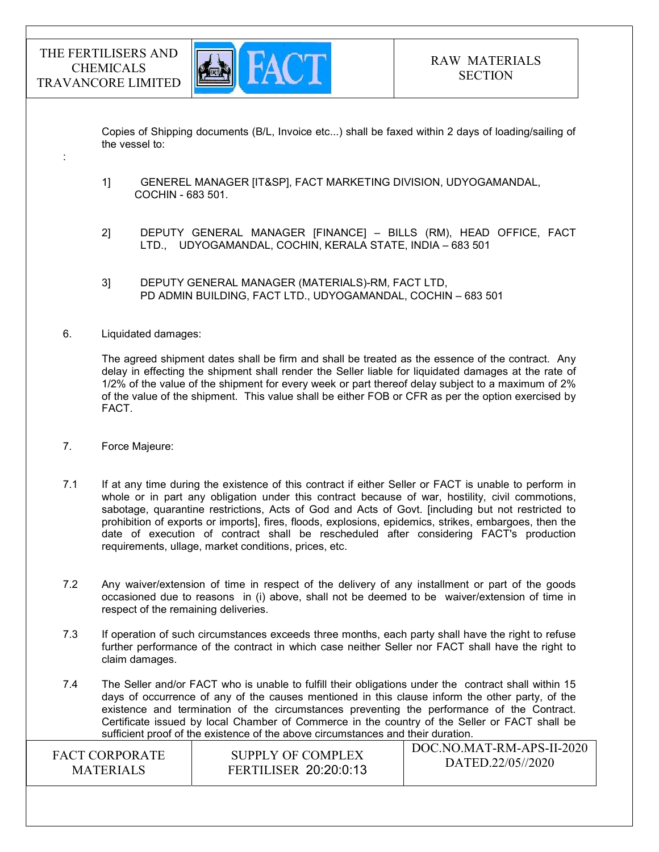:



 Copies of Shipping documents (B/L, Invoice etc...) shall be faxed within 2 days of loading/sailing of the vessel to:

- 1] GENEREL MANAGER [IT&SP], FACT MARKETING DIVISION, UDYOGAMANDAL, COCHIN - 683 501.
- 2] DEPUTY GENERAL MANAGER [FINANCE] BILLS (RM), HEAD OFFICE, FACT LTD., UDYOGAMANDAL, COCHIN, KERALA STATE, INDIA – 683 501
- 3] DEPUTY GENERAL MANAGER (MATERIALS)-RM, FACT LTD, PD ADMIN BUILDING, FACT LTD., UDYOGAMANDAL, COCHIN – 683 501

#### 6. Liquidated damages:

The agreed shipment dates shall be firm and shall be treated as the essence of the contract. Any delay in effecting the shipment shall render the Seller liable for liquidated damages at the rate of 1/2% of the value of the shipment for every week or part thereof delay subject to a maximum of 2% of the value of the shipment. This value shall be either FOB or CFR as per the option exercised by FACT.

7. Force Majeure:

7.1 If at any time during the existence of this contract if either Seller or FACT is unable to perform in whole or in part any obligation under this contract because of war, hostility, civil commotions, sabotage, quarantine restrictions, Acts of God and Acts of Govt. [including but not restricted to prohibition of exports or imports], fires, floods, explosions, epidemics, strikes, embargoes, then the date of execution of contract shall be rescheduled after considering FACT's production requirements, ullage, market conditions, prices, etc.

- 7.2 Any waiver/extension of time in respect of the delivery of any installment or part of the goods occasioned due to reasons in (i) above, shall not be deemed to be waiver/extension of time in respect of the remaining deliveries.
- 7.3 If operation of such circumstances exceeds three months, each party shall have the right to refuse further performance of the contract in which case neither Seller nor FACT shall have the right to claim damages.
- 7.4 The Seller and/or FACT who is unable to fulfill their obligations under the contract shall within 15 days of occurrence of any of the causes mentioned in this clause inform the other party, of the existence and termination of the circumstances preventing the performance of the Contract. Certificate issued by local Chamber of Commerce in the country of the Seller or FACT shall be sufficient proof of the existence of the above circumstances and their duration.

| <b>FACT CORPORATE</b> | SUPPLY OF COMPLEX            | DOC.NO.MAT-RM-APS-II-2020 |
|-----------------------|------------------------------|---------------------------|
| <b>MATERIALS</b>      | <b>FERTILISER 20:20:0:13</b> | DATED.22/05//2020         |
|                       |                              |                           |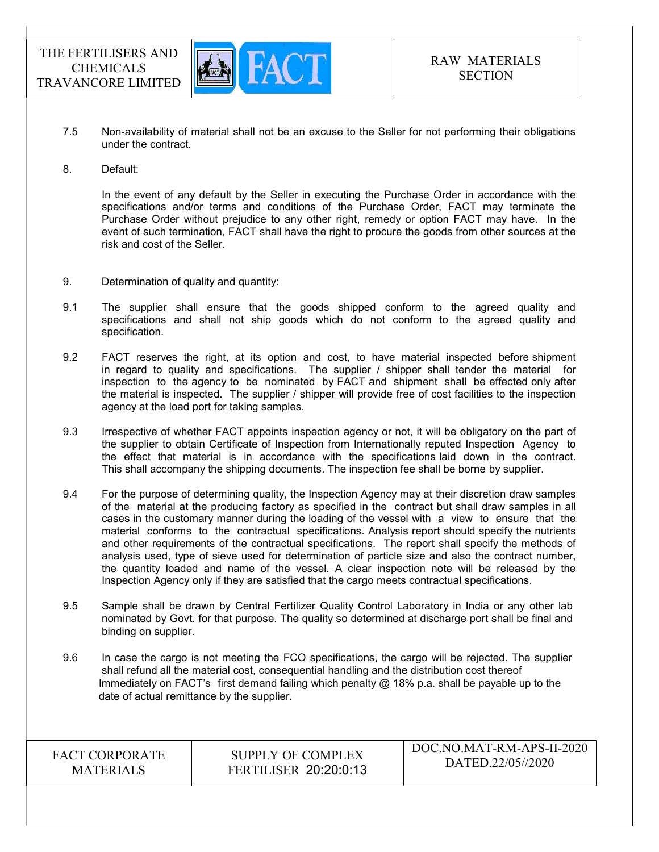

- 7.5 Non-availability of material shall not be an excuse to the Seller for not performing their obligations under the contract.
- 8. Default:

In the event of any default by the Seller in executing the Purchase Order in accordance with the specifications and/or terms and conditions of the Purchase Order, FACT may terminate the Purchase Order without prejudice to any other right, remedy or option FACT may have. In the event of such termination, FACT shall have the right to procure the goods from other sources at the risk and cost of the Seller.

- 9. Determination of quality and quantity:
- 9.1 The supplier shall ensure that the goods shipped conform to the agreed quality and specifications and shall not ship goods which do not conform to the agreed quality and specification.
- 9.2 FACT reserves the right, at its option and cost, to have material inspected before shipment in regard to quality and specifications. The supplier / shipper shall tender the material for inspection to the agency to be nominated by FACT and shipment shall be effected only after the material is inspected. The supplier / shipper will provide free of cost facilities to the inspection agency at the load port for taking samples.
- 9.3 Irrespective of whether FACT appoints inspection agency or not, it will be obligatory on the part of the supplier to obtain Certificate of Inspection from Internationally reputed Inspection Agency to the effect that material is in accordance with the specifications laid down in the contract. This shall accompany the shipping documents. The inspection fee shall be borne by supplier.
- 9.4 For the purpose of determining quality, the Inspection Agency may at their discretion draw samples of the material at the producing factory as specified in the contract but shall draw samples in all cases in the customary manner during the loading of the vessel with a view to ensure that the material conforms to the contractual specifications. Analysis report should specify the nutrients and other requirements of the contractual specifications. The report shall specify the methods of analysis used, type of sieve used for determination of particle size and also the contract number, the quantity loaded and name of the vessel. A clear inspection note will be released by the Inspection Agency only if they are satisfied that the cargo meets contractual specifications.
- 9.5 Sample shall be drawn by Central Fertilizer Quality Control Laboratory in India or any other lab nominated by Govt. for that purpose. The quality so determined at discharge port shall be final and binding on supplier.
- 9.6 In case the cargo is not meeting the FCO specifications, the cargo will be rejected. The supplier shall refund all the material cost, consequential handling and the distribution cost thereof Immediately on FACT's first demand failing which penalty  $@18\%$  p.a. shall be payable up to the date of actual remittance by the supplier.

FACT CORPORATE MATERIALS

SUPPLY OF COMPLEX FERTILISER 20:20:0:13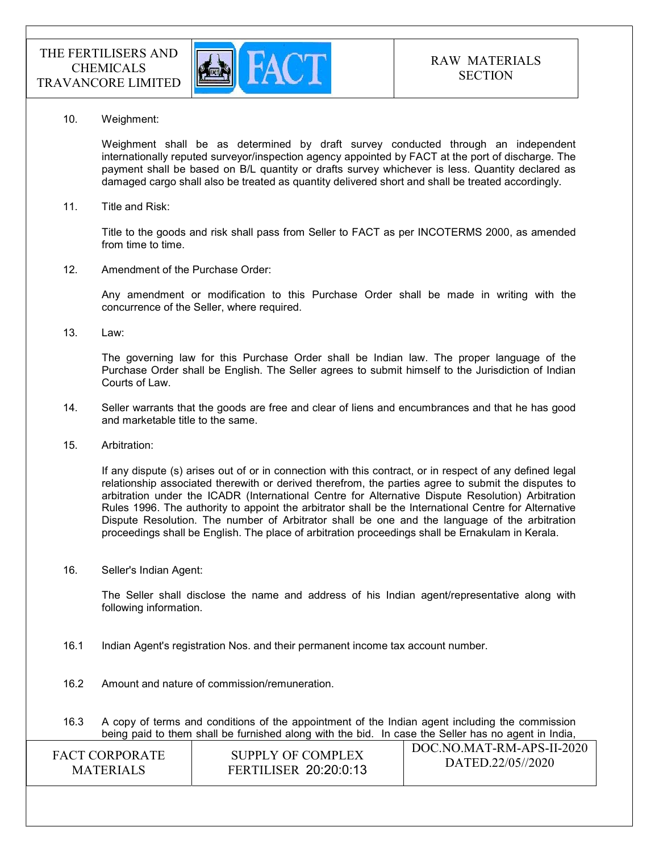

10. Weighment:

 Weighment shall be as determined by draft survey conducted through an independent internationally reputed surveyor/inspection agency appointed by FACT at the port of discharge. The payment shall be based on B/L quantity or drafts survey whichever is less. Quantity declared as damaged cargo shall also be treated as quantity delivered short and shall be treated accordingly.

11. Title and Risk:

Title to the goods and risk shall pass from Seller to FACT as per INCOTERMS 2000, as amended from time to time.

12. Amendment of the Purchase Order:

Any amendment or modification to this Purchase Order shall be made in writing with the concurrence of the Seller, where required.

13. Law:

The governing law for this Purchase Order shall be Indian law. The proper language of the Purchase Order shall be English. The Seller agrees to submit himself to the Jurisdiction of Indian Courts of Law.

- 14. Seller warrants that the goods are free and clear of liens and encumbrances and that he has good and marketable title to the same.
- 15. Arbitration:

If any dispute (s) arises out of or in connection with this contract, or in respect of any defined legal relationship associated therewith or derived therefrom, the parties agree to submit the disputes to arbitration under the ICADR (International Centre for Alternative Dispute Resolution) Arbitration Rules 1996. The authority to appoint the arbitrator shall be the International Centre for Alternative Dispute Resolution. The number of Arbitrator shall be one and the language of the arbitration proceedings shall be English. The place of arbitration proceedings shall be Ernakulam in Kerala.

16. Seller's Indian Agent:

The Seller shall disclose the name and address of his Indian agent/representative along with following information.

- 16.1 Indian Agent's registration Nos. and their permanent income tax account number.
- 16.2 Amount and nature of commission/remuneration.
- $\overline{D}$ 16.3 A copy of terms and conditions of the appointment of the Indian agent including the commission being paid to them shall be furnished along with the bid. In case the Seller has no agent in India,

| <b>FACT CORPORATE</b> | SUPPLY OF COMPLEX            | DOC.NO.MAT-RM-APS-II-2020 |
|-----------------------|------------------------------|---------------------------|
| <b>MATERIALS</b>      | <b>FERTILISER 20:20:0:13</b> | DATED.22/05//2020         |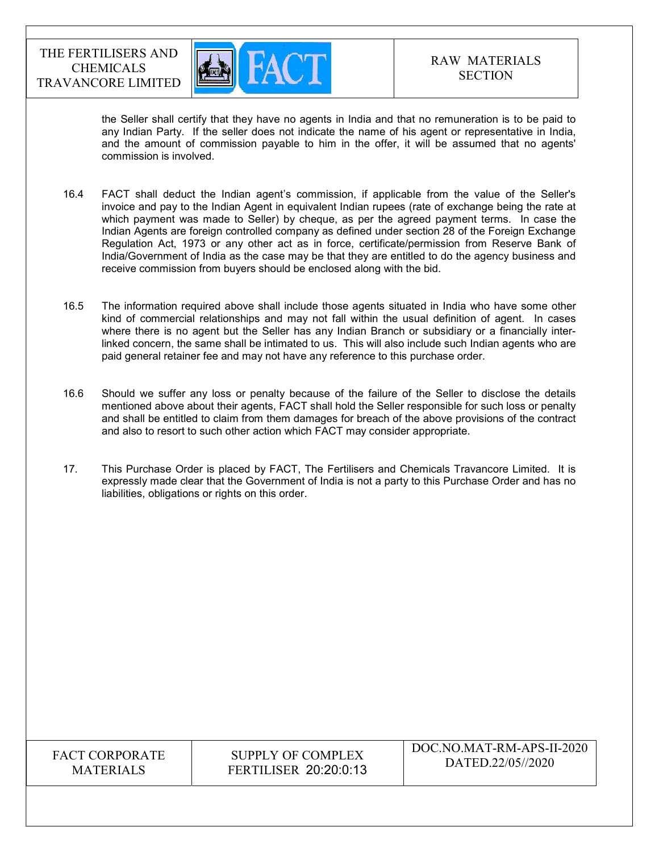

the Seller shall certify that they have no agents in India and that no remuneration is to be paid to any Indian Party. If the seller does not indicate the name of his agent or representative in India, and the amount of commission payable to him in the offer, it will be assumed that no agents' commission is involved.

- 16.4 FACT shall deduct the Indian agent's commission, if applicable from the value of the Seller's invoice and pay to the Indian Agent in equivalent Indian rupees (rate of exchange being the rate at which payment was made to Seller) by cheque, as per the agreed payment terms. In case the Indian Agents are foreign controlled company as defined under section 28 of the Foreign Exchange Regulation Act, 1973 or any other act as in force, certificate/permission from Reserve Bank of India/Government of India as the case may be that they are entitled to do the agency business and receive commission from buyers should be enclosed along with the bid.
- 16.5 The information required above shall include those agents situated in India who have some other kind of commercial relationships and may not fall within the usual definition of agent. In cases where there is no agent but the Seller has any Indian Branch or subsidiary or a financially interlinked concern, the same shall be intimated to us. This will also include such Indian agents who are paid general retainer fee and may not have any reference to this purchase order.
- 16.6 Should we suffer any loss or penalty because of the failure of the Seller to disclose the details mentioned above about their agents, FACT shall hold the Seller responsible for such loss or penalty and shall be entitled to claim from them damages for breach of the above provisions of the contract and also to resort to such other action which FACT may consider appropriate.
- 17. This Purchase Order is placed by FACT, The Fertilisers and Chemicals Travancore Limited. It is expressly made clear that the Government of India is not a party to this Purchase Order and has no liabilities, obligations or rights on this order.

# FACT CORPORATE MATERIALS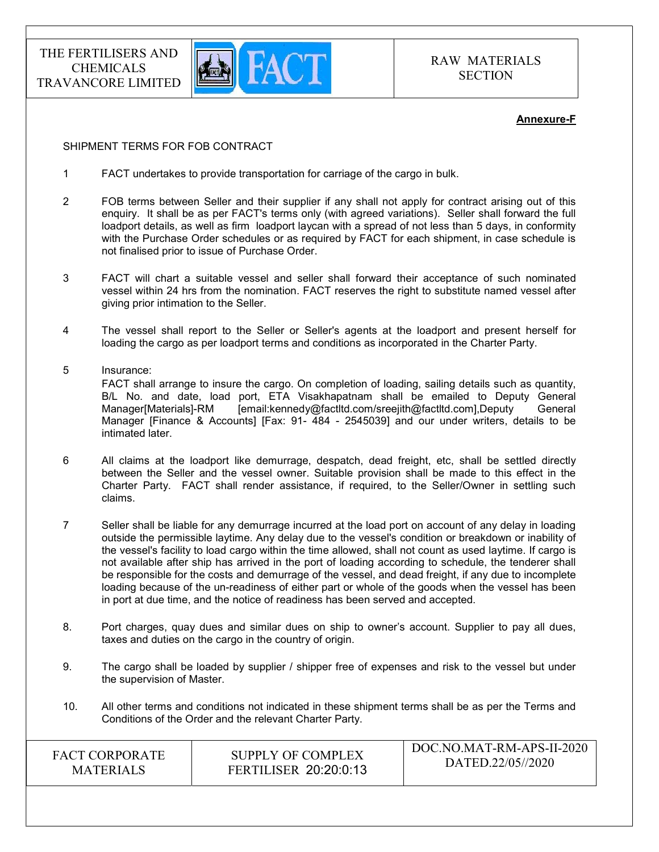

RAW MATERIALS **SECTION** 

#### Annexure-F

#### SHIPMENT TERMS FOR FOB CONTRACT

- 1 FACT undertakes to provide transportation for carriage of the cargo in bulk.
- 2 FOB terms between Seller and their supplier if any shall not apply for contract arising out of this enquiry. It shall be as per FACT's terms only (with agreed variations). Seller shall forward the full loadport details, as well as firm loadport laycan with a spread of not less than 5 days, in conformity with the Purchase Order schedules or as required by FACT for each shipment, in case schedule is not finalised prior to issue of Purchase Order.
- 3 FACT will chart a suitable vessel and seller shall forward their acceptance of such nominated vessel within 24 hrs from the nomination. FACT reserves the right to substitute named vessel after giving prior intimation to the Seller.
- 4 The vessel shall report to the Seller or Seller's agents at the loadport and present herself for loading the cargo as per loadport terms and conditions as incorporated in the Charter Party.
- 5 Insurance: FACT shall arrange to insure the cargo. On completion of loading, sailing details such as quantity, B/L No. and date, load port, ETA Visakhapatnam shall be emailed to Deputy General Manager[Materials]-RM [email:kennedy@factltd.com/sreejith@factltd.com],Deputy General Manager [Finance & Accounts] [Fax: 91- 484 - 2545039] and our under writers, details to be intimated later.
- 6 All claims at the loadport like demurrage, despatch, dead freight, etc, shall be settled directly between the Seller and the vessel owner. Suitable provision shall be made to this effect in the Charter Party. FACT shall render assistance, if required, to the Seller/Owner in settling such claims.
- 7 Seller shall be liable for any demurrage incurred at the load port on account of any delay in loading outside the permissible laytime. Any delay due to the vessel's condition or breakdown or inability of the vessel's facility to load cargo within the time allowed, shall not count as used laytime. If cargo is not available after ship has arrived in the port of loading according to schedule, the tenderer shall be responsible for the costs and demurrage of the vessel, and dead freight, if any due to incomplete loading because of the un-readiness of either part or whole of the goods when the vessel has been in port at due time, and the notice of readiness has been served and accepted.
- 8. Port charges, quay dues and similar dues on ship to owner's account. Supplier to pay all dues, taxes and duties on the cargo in the country of origin.
- 9. The cargo shall be loaded by supplier / shipper free of expenses and risk to the vessel but under the supervision of Master.
- 10. All other terms and conditions not indicated in these shipment terms shall be as per the Terms and Conditions of the Order and the relevant Charter Party.

| <b>FACT CORPORATE</b> | SUPPLY OF COMPLEX            | DOC.NO.MAT-RM-APS-II-2020 |
|-----------------------|------------------------------|---------------------------|
| <b>MATERIALS</b>      | <b>FERTILISER 20:20:0:13</b> | DATED.22/05//2020         |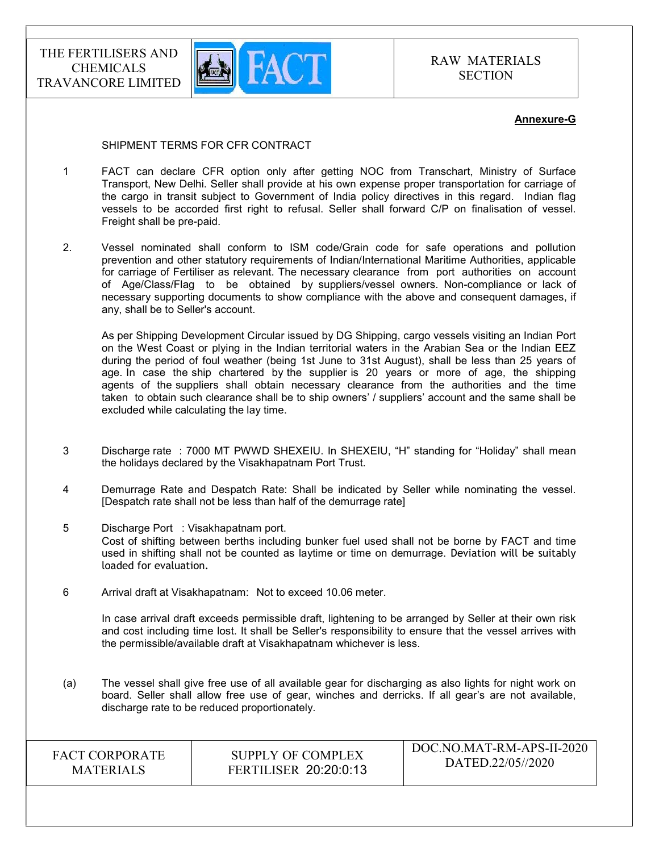

#### Annexure-G

#### SHIPMENT TERMS FOR CFR CONTRACT

- 1 FACT can declare CFR option only after getting NOC from Transchart, Ministry of Surface Transport, New Delhi. Seller shall provide at his own expense proper transportation for carriage of the cargo in transit subject to Government of India policy directives in this regard. Indian flag vessels to be accorded first right to refusal. Seller shall forward C/P on finalisation of vessel. Freight shall be pre-paid.
- 2. Vessel nominated shall conform to ISM code/Grain code for safe operations and pollution prevention and other statutory requirements of Indian/International Maritime Authorities, applicable for carriage of Fertiliser as relevant. The necessary clearance from port authorities on account of Age/Class/Flag to be obtained by suppliers/vessel owners. Non-compliance or lack of necessary supporting documents to show compliance with the above and consequent damages, if any, shall be to Seller's account.

 As per Shipping Development Circular issued by DG Shipping, cargo vessels visiting an Indian Port on the West Coast or plying in the Indian territorial waters in the Arabian Sea or the Indian EEZ during the period of foul weather (being 1st June to 31st August), shall be less than 25 years of age. In case the ship chartered by the supplier is 20 years or more of age, the shipping agents of the suppliers shall obtain necessary clearance from the authorities and the time taken to obtain such clearance shall be to ship owners' / suppliers' account and the same shall be excluded while calculating the lay time.

- 3 Discharge rate : 7000 MT PWWD SHEXEIU. In SHEXEIU, "H" standing for "Holiday" shall mean the holidays declared by the Visakhapatnam Port Trust.
- 4 Demurrage Rate and Despatch Rate: Shall be indicated by Seller while nominating the vessel. [Despatch rate shall not be less than half of the demurrage rate]
- 5 Discharge Port : Visakhapatnam port. Cost of shifting between berths including bunker fuel used shall not be borne by FACT and time used in shifting shall not be counted as laytime or time on demurrage. Deviation will be suitably loaded for evaluation.
- 6 Arrival draft at Visakhapatnam: Not to exceed 10.06 meter.

 In case arrival draft exceeds permissible draft, lightening to be arranged by Seller at their own risk and cost including time lost. It shall be Seller's responsibility to ensure that the vessel arrives with the permissible/available draft at Visakhapatnam whichever is less.

(a) The vessel shall give free use of all available gear for discharging as also lights for night work on board. Seller shall allow free use of gear, winches and derricks. If all gear's are not available, discharge rate to be reduced proportionately.

| <b>FACT CORPORATE</b> |
|-----------------------|
| <b>MATERIALS</b>      |

SUPPLY OF COMPLEX FERTILISER 20:20:0:13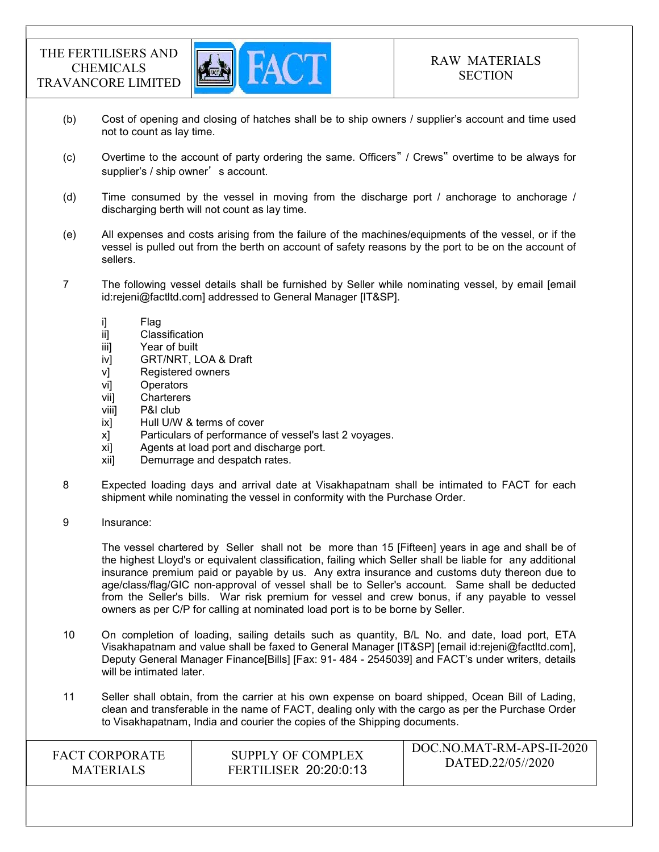

- (b) Cost of opening and closing of hatches shall be to ship owners / supplier's account and time used not to count as lay time.
- (c) Overtime to the account of party ordering the same. Officers" / Crews" overtime to be always for supplier's / ship owner's account.
- (d) Time consumed by the vessel in moving from the discharge port / anchorage to anchorage / discharging berth will not count as lay time.
- (e) All expenses and costs arising from the failure of the machines/equipments of the vessel, or if the vessel is pulled out from the berth on account of safety reasons by the port to be on the account of sellers.
- 7 The following vessel details shall be furnished by Seller while nominating vessel, by email [email id:rejeni@factltd.com] addressed to General Manager [IT&SP].
	-
	- i] Flag<br>ii] Clas Classification
	- iii] Year of built
	- iv] GRT/NRT, LOA & Draft
	- v] Registered owners
	- vi] Operators
	- vii] Charterers
	- viii] P&I club
	- ix] Hull U/W & terms of cover
	- x] Particulars of performance of vessel's last 2 voyages.
	- xi] Agents at load port and discharge port.
	- xii] Demurrage and despatch rates.
- 8 Expected loading days and arrival date at Visakhapatnam shall be intimated to FACT for each shipment while nominating the vessel in conformity with the Purchase Order.
- 9 Insurance:

 The vessel chartered by Seller shall not be more than 15 [Fifteen] years in age and shall be of the highest Lloyd's or equivalent classification, failing which Seller shall be liable for any additional insurance premium paid or payable by us. Any extra insurance and customs duty thereon due to age/class/flag/GIC non-approval of vessel shall be to Seller's account. Same shall be deducted from the Seller's bills. War risk premium for vessel and crew bonus, if any payable to vessel owners as per C/P for calling at nominated load port is to be borne by Seller.

- 10 On completion of loading, sailing details such as quantity, B/L No. and date, load port, ETA Visakhapatnam and value shall be faxed to General Manager [IT&SP] [email id:rejeni@factltd.com], Deputy General Manager Finance[Bills] [Fax: 91- 484 - 2545039] and FACT's under writers, details will be intimated later.
- 11 Seller shall obtain, from the carrier at his own expense on board shipped, Ocean Bill of Lading, clean and transferable in the name of FACT, dealing only with the cargo as per the Purchase Order to Visakhapatnam, India and courier the copies of the Shipping documents.

| <b>FERTILISER 20:20:0:13</b><br><b>MATERIALS</b> | <b>FACT CORPORATE</b> | SUPPLY OF COMPLEX | DOC.NO.MAT-RM-APS-II-2020<br>DATED.22/05//2020 |
|--------------------------------------------------|-----------------------|-------------------|------------------------------------------------|
|--------------------------------------------------|-----------------------|-------------------|------------------------------------------------|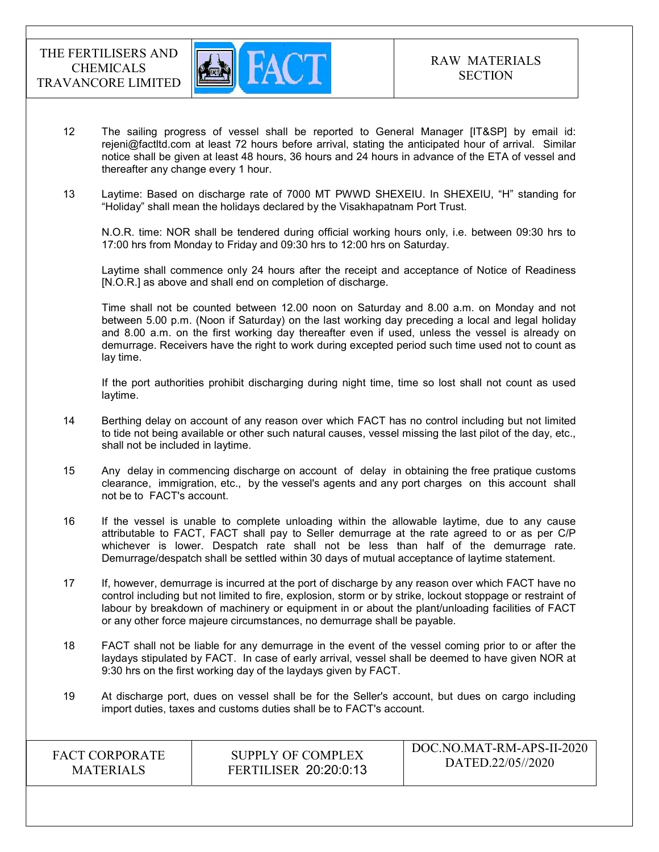

- 12 The sailing progress of vessel shall be reported to General Manager [IT&SP] by email id: rejeni@factltd.com at least 72 hours before arrival, stating the anticipated hour of arrival. Similar notice shall be given at least 48 hours, 36 hours and 24 hours in advance of the ETA of vessel and thereafter any change every 1 hour.
- 13 Laytime: Based on discharge rate of 7000 MT PWWD SHEXEIU. In SHEXEIU, "H" standing for "Holiday" shall mean the holidays declared by the Visakhapatnam Port Trust.

 N.O.R. time: NOR shall be tendered during official working hours only, i.e. between 09:30 hrs to 17:00 hrs from Monday to Friday and 09:30 hrs to 12:00 hrs on Saturday.

 Laytime shall commence only 24 hours after the receipt and acceptance of Notice of Readiness [N.O.R.] as above and shall end on completion of discharge.

 Time shall not be counted between 12.00 noon on Saturday and 8.00 a.m. on Monday and not between 5.00 p.m. (Noon if Saturday) on the last working day preceding a local and legal holiday and 8.00 a.m. on the first working day thereafter even if used, unless the vessel is already on demurrage. Receivers have the right to work during excepted period such time used not to count as lay time.

 If the port authorities prohibit discharging during night time, time so lost shall not count as used laytime.

- 14 Berthing delay on account of any reason over which FACT has no control including but not limited to tide not being available or other such natural causes, vessel missing the last pilot of the day, etc., shall not be included in laytime.
- 15 Any delay in commencing discharge on account of delay in obtaining the free pratique customs clearance, immigration, etc., by the vessel's agents and any port charges on this account shall not be to FACT's account.
- 16 If the vessel is unable to complete unloading within the allowable laytime, due to any cause attributable to FACT, FACT shall pay to Seller demurrage at the rate agreed to or as per C/P whichever is lower. Despatch rate shall not be less than half of the demurrage rate. Demurrage/despatch shall be settled within 30 days of mutual acceptance of laytime statement.
- 17 If, however, demurrage is incurred at the port of discharge by any reason over which FACT have no control including but not limited to fire, explosion, storm or by strike, lockout stoppage or restraint of labour by breakdown of machinery or equipment in or about the plant/unloading facilities of FACT or any other force majeure circumstances, no demurrage shall be payable.
- 18 FACT shall not be liable for any demurrage in the event of the vessel coming prior to or after the laydays stipulated by FACT. In case of early arrival, vessel shall be deemed to have given NOR at 9:30 hrs on the first working day of the laydays given by FACT.
- 19 At discharge port, dues on vessel shall be for the Seller's account, but dues on cargo including import duties, taxes and customs duties shall be to FACT's account.

| DATED.22/05//2020<br><b>FERTILISER 20:20:0:13</b><br><b>MATERIALS</b> | <b>FACT CORPORATE</b> | SUPPLY OF COMPLEX | DOC.NO.MAT-RM-APS-II-2020 |
|-----------------------------------------------------------------------|-----------------------|-------------------|---------------------------|
|-----------------------------------------------------------------------|-----------------------|-------------------|---------------------------|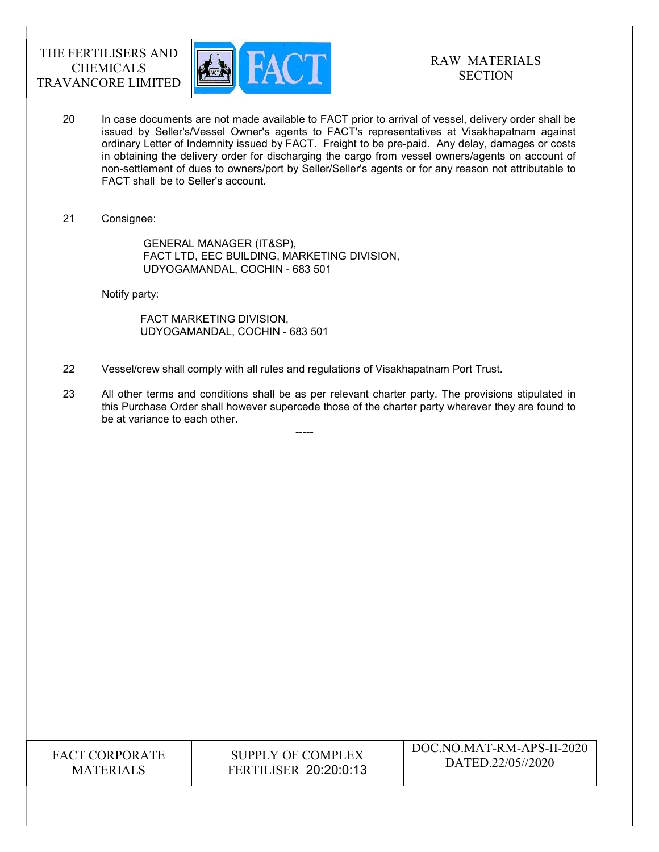

- 20 In case documents are not made available to FACT prior to arrival of vessel, delivery order shall be issued by Seller's/Vessel Owner's agents to FACT's representatives at Visakhapatnam against ordinary Letter of Indemnity issued by FACT. Freight to be pre-paid. Any delay, damages or costs in obtaining the delivery order for discharging the cargo from vessel owners/agents on account of non-settlement of dues to owners/port by Seller/Seller's agents or for any reason not attributable to FACT shall be to Seller's account.
- 21 Consignee:

 GENERAL MANAGER (IT&SP), FACT LTD, EEC BUILDING, MARKETING DIVISION, UDYOGAMANDAL, COCHIN - 683 501

Notify party:

 FACT MARKETING DIVISION, UDYOGAMANDAL, COCHIN - 683 501

-----

- 22 Vessel/crew shall comply with all rules and regulations of Visakhapatnam Port Trust.
- 23 All other terms and conditions shall be as per relevant charter party. The provisions stipulated in this Purchase Order shall however supercede those of the charter party wherever they are found to be at variance to each other.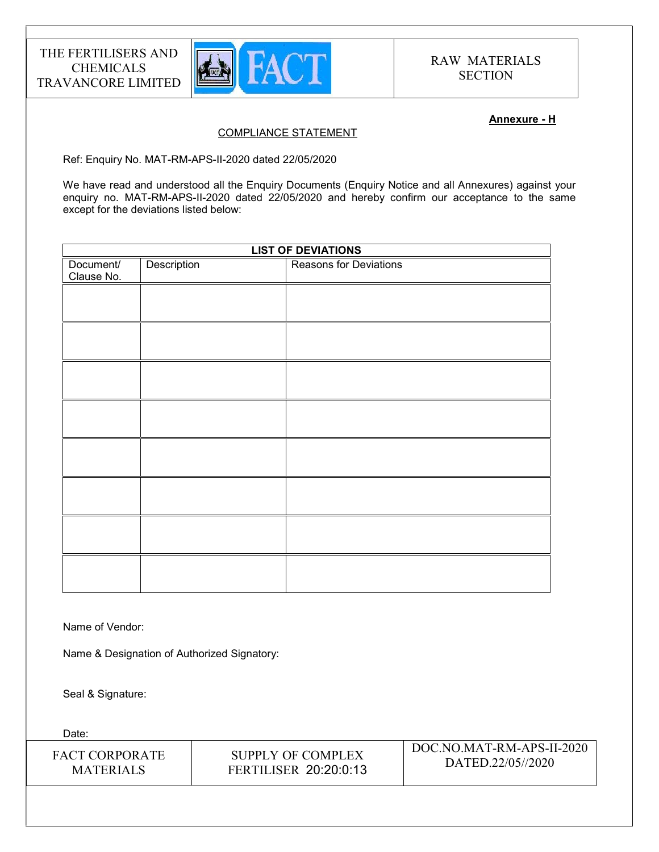

#### Annexure - H

### COMPLIANCE STATEMENT

Ref: Enquiry No. MAT-RM-APS-II-2020 dated 22/05/2020

We have read and understood all the Enquiry Documents (Enquiry Notice and all Annexures) against your enquiry no. MAT-RM-APS-II-2020 dated 22/05/2020 and hereby confirm our acceptance to the same except for the deviations listed below:

|                         |             | <b>LIST OF DEVIATIONS</b> |
|-------------------------|-------------|---------------------------|
| Document/<br>Clause No. | Description | Reasons for Deviations    |
|                         |             |                           |
|                         |             |                           |
|                         |             |                           |
|                         |             |                           |
|                         |             |                           |
|                         |             |                           |
|                         |             |                           |
|                         |             |                           |
|                         |             |                           |

Name of Vendor:

Name & Designation of Authorized Signatory:

Seal & Signature:

Date: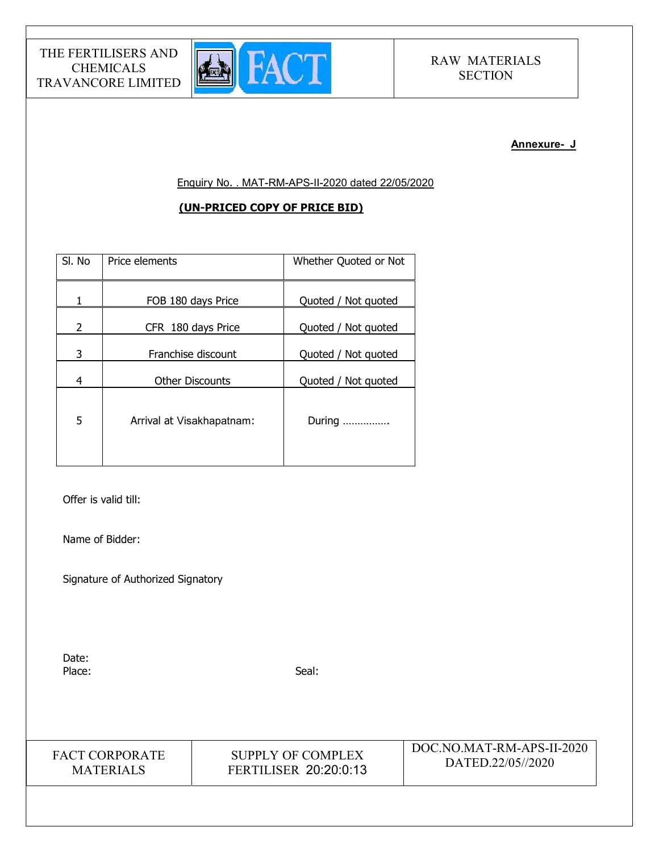

#### Annexure- J

Enquiry No. . MAT-RM-APS-II-2020 dated 22/05/2020

### (UN-PRICED COPY OF PRICE BID)

| SI. No | Price elements            | Whether Quoted or Not |
|--------|---------------------------|-----------------------|
| 1      | FOB 180 days Price        | Quoted / Not quoted   |
| 2      | CFR 180 days Price        | Quoted / Not quoted   |
| 3      | Franchise discount        | Quoted / Not quoted   |
| 4      | <b>Other Discounts</b>    | Quoted / Not quoted   |
| 5      | Arrival at Visakhapatnam: | During                |

Offer is valid till:

Name of Bidder:

Signature of Authorized Signatory

Date: Place: Seal: Seal: Seal: Seal: Seal: Seal: Seal: Seal: Seal: Seal: Seal: Seal: Seal: Seal: Seal: Seal: Seal: Seal: Seal: Seal: Seal: Seal: Seal: Seal: Seal: Seal: Seal: Seal: Seal: Seal: Seal: Seal: Seal: Seal: Seal: Seal:

FACT CORPORATE MATERIALS

SUPPLY OF COMPLEX FERTILISER 20:20:0:13 DOC.NO.MAT-RM-APS-II-2020 DATED.22/05//2020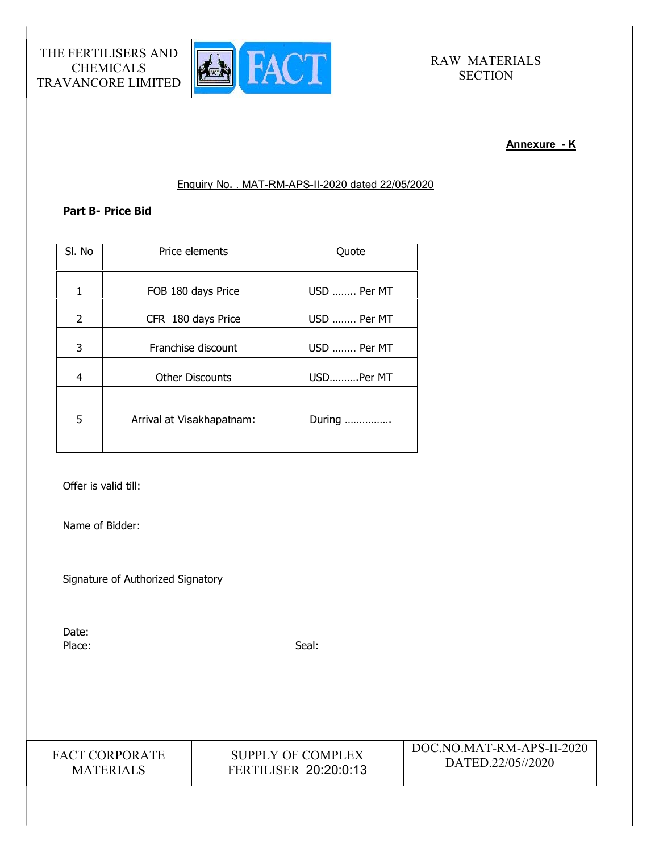

#### Annexure - K

### Enquiry No. . MAT-RM-APS-II-2020 dated 22/05/2020

### Part B- Price Bid

| SI. No         | Price elements            | Quote       |
|----------------|---------------------------|-------------|
| 1              | FOB 180 days Price        | USD  Per MT |
| $\overline{2}$ | CFR 180 days Price        | USD  Per MT |
| 3              | Franchise discount        | USD  Per MT |
| $\overline{4}$ | <b>Other Discounts</b>    | USDPer MT   |
| 5              | Arrival at Visakhapatnam: | During      |

Offer is valid till:

Name of Bidder:

Signature of Authorized Signatory

Date: Place: Seal: Seal: Seal: Seal: Seal: Seal: Seal: Seal: Seal: Seal: Seal: Seal: Seal: Seal: Seal: Seal: Seal: Seal: Seal: Seal: Seal: Seal: Seal: Seal: Seal: Seal: Seal: Seal: Seal: Seal: Seal: Seal: Seal: Seal: Seal: Seal:

FACT CORPORATE MATERIALS

SUPPLY OF COMPLEX FERTILISER 20:20:0:13 DOC.NO.MAT-RM-APS-II-2020 DATED.22/05//2020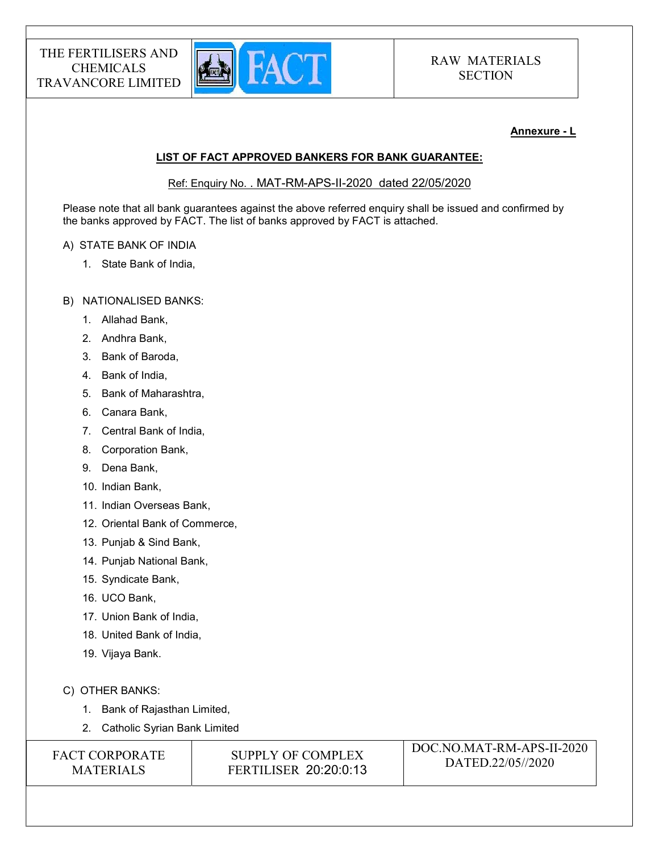

#### Annexure - L

### LIST OF FACT APPROVED BANKERS FOR BANK GUARANTEE:

Ref: Enquiry No. . MAT-RM-APS-II-2020 dated 22/05/2020

Please note that all bank guarantees against the above referred enquiry shall be issued and confirmed by the banks approved by FACT. The list of banks approved by FACT is attached.

#### A) STATE BANK OF INDIA

1. State Bank of India,

#### B) NATIONALISED BANKS:

- 1. Allahad Bank,
- 2. Andhra Bank,
- 3. Bank of Baroda,
- 4. Bank of India,
- 5. Bank of Maharashtra,
- 6. Canara Bank,
- 7. Central Bank of India,
- 8. Corporation Bank,
- 9. Dena Bank,
- 10. Indian Bank,
- 11. Indian Overseas Bank,
- 12. Oriental Bank of Commerce,
- 13. Punjab & Sind Bank,
- 14. Punjab National Bank,
- 15. Syndicate Bank,
- 16. UCO Bank,
- 17. Union Bank of India,
- 18. United Bank of India,
- 19. Vijaya Bank.
- C) OTHER BANKS:
	- 1. Bank of Rajasthan Limited,
	- 2. Catholic Syrian Bank Limited

| <b>FACT CORPORATE</b> |
|-----------------------|
| <b>MATERIALS</b>      |

SUPPLY OF COMPLEX FERTILISER 20:20:0:13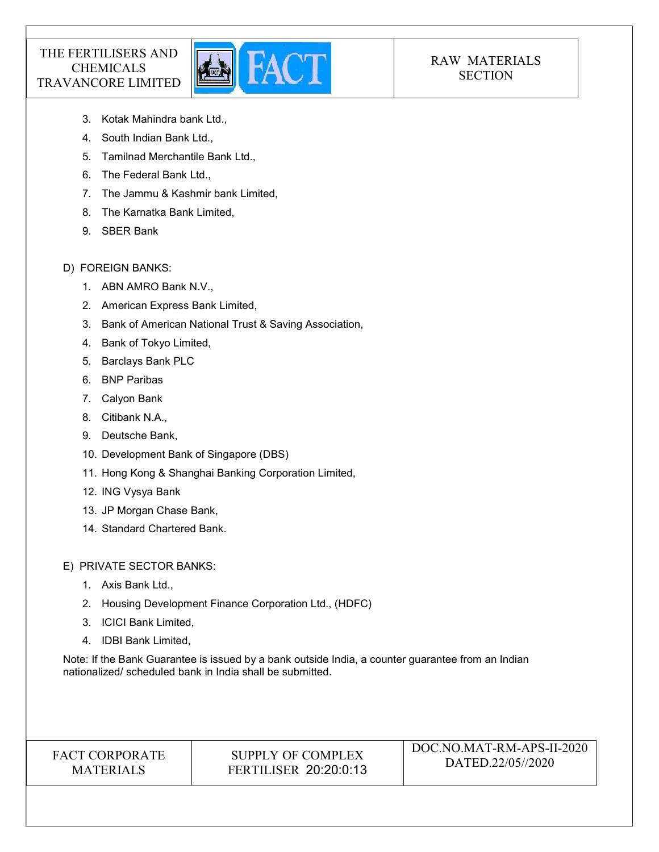

# RAW MATERIALS **SECTION**

- 3. Kotak Mahindra bank Ltd.,
- 4. South Indian Bank Ltd.,
- 5. Tamilnad Merchantile Bank Ltd.,
- 6. The Federal Bank Ltd.,
- 7. The Jammu & Kashmir bank Limited,
- 8. The Karnatka Bank Limited,
- 9. SBER Bank

### D) FOREIGN BANKS:

- 1. ABN AMRO Bank N.V.,
- 2. American Express Bank Limited,
- 3. Bank of American National Trust & Saving Association,
- 4. Bank of Tokyo Limited,
- 5. Barclays Bank PLC
- 6. BNP Paribas
- 7. Calyon Bank
- 8. Citibank N.A.,
- 9. Deutsche Bank,
- 10. Development Bank of Singapore (DBS)
- 11. Hong Kong & Shanghai Banking Corporation Limited,
- 12. ING Vysya Bank
- 13. JP Morgan Chase Bank,
- 14. Standard Chartered Bank.

E) PRIVATE SECTOR BANKS:

- 1. Axis Bank Ltd.,
- 2. Housing Development Finance Corporation Ltd., (HDFC)
- 3. ICICI Bank Limited,
- 4. IDBI Bank Limited,

Note: If the Bank Guarantee is issued by a bank outside India, a counter guarantee from an Indian nationalized/ scheduled bank in India shall be submitted.

# FACT CORPORATE MATERIALS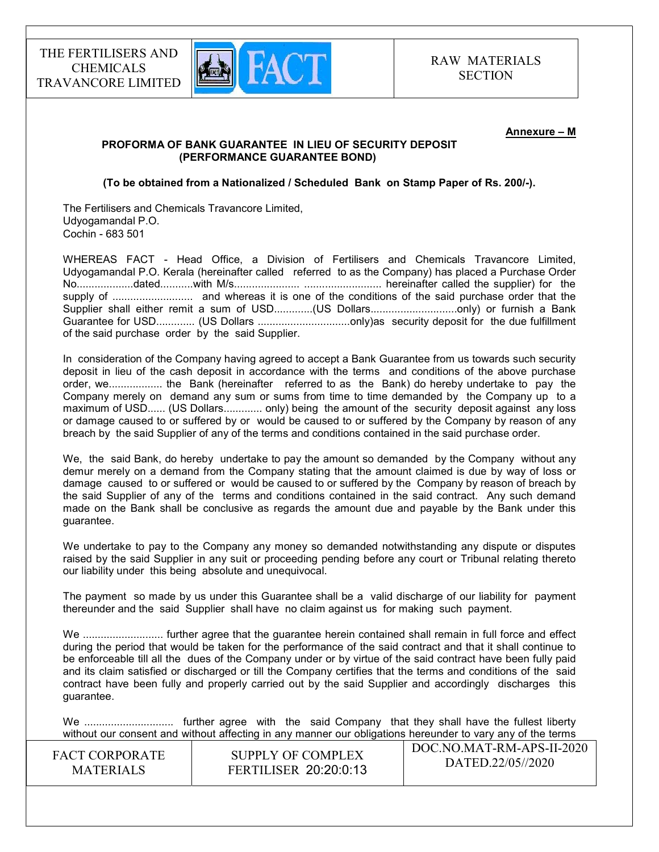

#### Annexure – M

#### PROFORMA OF BANK GUARANTEE IN LIEU OF SECURITY DEPOSIT (PERFORMANCE GUARANTEE BOND)

(To be obtained from a Nationalized / Scheduled Bank on Stamp Paper of Rs. 200/-).

The Fertilisers and Chemicals Travancore Limited, Udyogamandal P.O. Cochin - 683 501

WHEREAS FACT - Head Office, a Division of Fertilisers and Chemicals Travancore Limited, Udyogamandal P.O. Kerala (hereinafter called referred to as the Company) has placed a Purchase Order No...................dated...........with M/s...................... .......................... hereinafter called the supplier) for the supply of ........................... and whereas it is one of the conditions of the said purchase order that the Supplier shall either remit a sum of USD.............(US Dollars................................only) or furnish a Bank Guarantee for USD............. (US Dollars ...............................only)as security deposit for the due fulfillment of the said purchase order by the said Supplier.

In consideration of the Company having agreed to accept a Bank Guarantee from us towards such security deposit in lieu of the cash deposit in accordance with the terms and conditions of the above purchase order, we.................. the Bank (hereinafter referred to as the Bank) do hereby undertake to pay the Company merely on demand any sum or sums from time to time demanded by the Company up to a maximum of USD...... (US Dollars............. only) being the amount of the security deposit against any loss or damage caused to or suffered by or would be caused to or suffered by the Company by reason of any breach by the said Supplier of any of the terms and conditions contained in the said purchase order.

We, the said Bank, do hereby undertake to pay the amount so demanded by the Company without any demur merely on a demand from the Company stating that the amount claimed is due by way of loss or damage caused to or suffered or would be caused to or suffered by the Company by reason of breach by the said Supplier of any of the terms and conditions contained in the said contract. Any such demand made on the Bank shall be conclusive as regards the amount due and payable by the Bank under this guarantee.

We undertake to pay to the Company any money so demanded notwithstanding any dispute or disputes raised by the said Supplier in any suit or proceeding pending before any court or Tribunal relating thereto our liability under this being absolute and unequivocal.

The payment so made by us under this Guarantee shall be a valid discharge of our liability for payment thereunder and the said Supplier shall have no claim against us for making such payment.

We ........................... further agree that the guarantee herein contained shall remain in full force and effect during the period that would be taken for the performance of the said contract and that it shall continue to be enforceable till all the dues of the Company under or by virtue of the said contract have been fully paid and its claim satisfied or discharged or till the Company certifies that the terms and conditions of the said contract have been fully and properly carried out by the said Supplier and accordingly discharges this guarantee.

 $\overline{D}$ We .............................. further agree with the said Company that they shall have the fullest liberty without our consent and without affecting in any manner our obligations hereunder to vary any of the terms

| <b>FACT CORPORATE</b> | SUPPLY OF COMPLEX            | DOC.NO.MAT-RM-APS-II-2020 |
|-----------------------|------------------------------|---------------------------|
| <b>MATERIALS</b>      | <b>FERTILISER 20:20:0:13</b> | DATED.22/05//2020         |